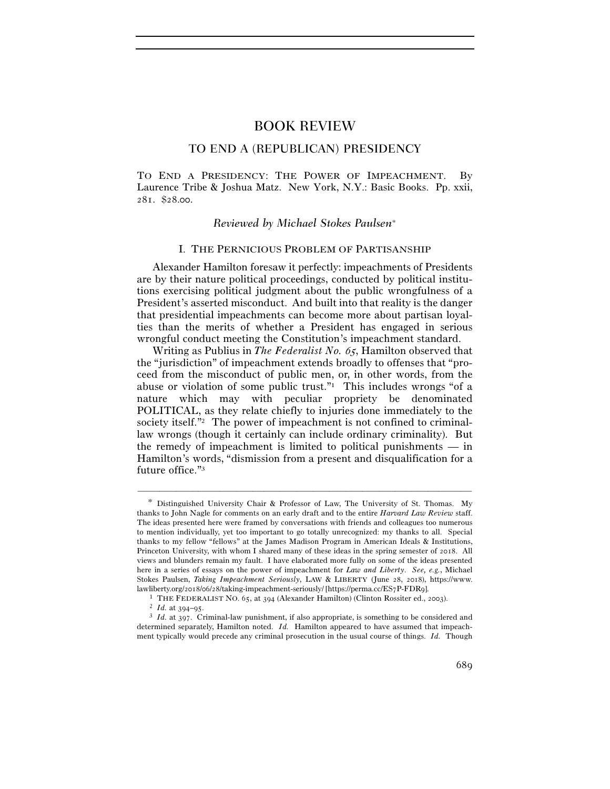# BOOK REVIEW

# TO END A (REPUBLICAN) PRESIDENCY

TO END A PRESIDENCY: THE POWER OF IMPEACHMENT. By Laurence Tribe & Joshua Matz. New York, N.Y.: Basic Books. Pp. xxii, 281. \$28.00.

## *Reviewed by Michael Stokes Paulsen*<sup>∗</sup>

## I. THE PERNICIOUS PROBLEM OF PARTISANSHIP

Alexander Hamilton foresaw it perfectly: impeachments of Presidents are by their nature political proceedings, conducted by political institutions exercising political judgment about the public wrongfulness of a President's asserted misconduct. And built into that reality is the danger that presidential impeachments can become more about partisan loyalties than the merits of whether a President has engaged in serious wrongful conduct meeting the Constitution's impeachment standard.

Writing as Publius in *The Federalist No.* 65, Hamilton observed that the "jurisdiction" of impeachment extends broadly to offenses that "proceed from the misconduct of public men, or, in other words, from the abuse or violation of some public trust."1 This includes wrongs "of a nature which may with peculiar propriety be denominated POLITICAL, as they relate chiefly to injuries done immediately to the society itself."2 The power of impeachment is not confined to criminallaw wrongs (though it certainly can include ordinary criminality). But the remedy of impeachment is limited to political punishments — in Hamilton's words, "dismission from a present and disqualification for a future office."3

<sup>\*</sup> Distinguished University Chair & Professor of Law, The University of St. Thomas. My thanks to John Nagle for comments on an early draft and to the entire *Harvard Law Review* staff. The ideas presented here were framed by conversations with friends and colleagues too numerous to mention individually, yet too important to go totally unrecognized: my thanks to all. Special thanks to my fellow "fellows" at the James Madison Program in American Ideals & Institutions, Princeton University, with whom I shared many of these ideas in the spring semester of 2018. All views and blunders remain my fault. I have elaborated more fully on some of the ideas presented here in a series of essays on the power of impeachment for *Law and Liberty*. *See, e.g.*, Michael Stokes Paulsen, *Taking Impeachment Seriously*, LAW & LIBERTY (June 28, 2018), https://www.

lawliberty.org/2018/06/28/taking-impeachment-seriously/ [https://perma.cc/ES7P-FDR9].<br>
<sup>1</sup> THE FEDERALIST NO. 65, at 394 (Alexander Hamilton) (Clinton Rossiter ed., 2003).<br>
<sup>2</sup> *Id.* at 394–95.<br>
<sup>3</sup> *Id.* at 397. Criminal determined separately, Hamilton noted. *Id.* Hamilton appeared to have assumed that impeachment typically would precede any criminal prosecution in the usual course of things. *Id.* Though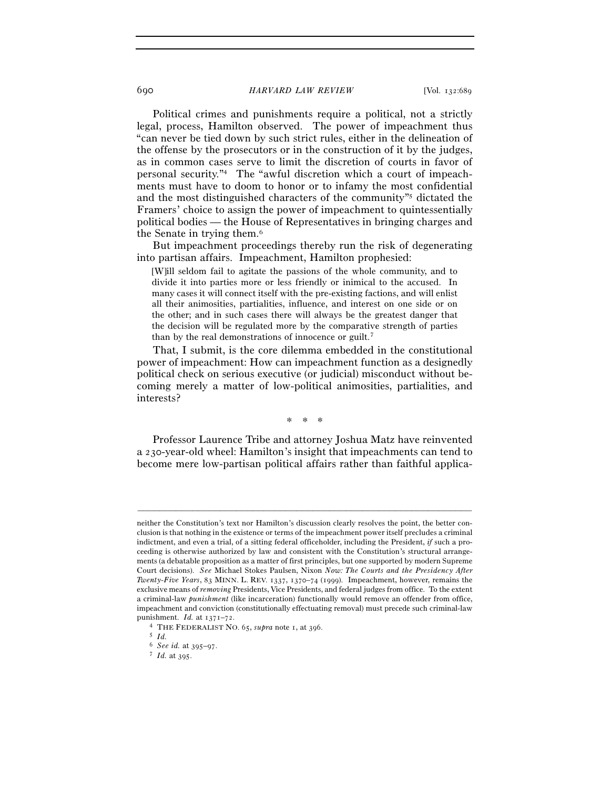Political crimes and punishments require a political, not a strictly legal, process, Hamilton observed. The power of impeachment thus "can never be tied down by such strict rules, either in the delineation of the offense by the prosecutors or in the construction of it by the judges, as in common cases serve to limit the discretion of courts in favor of personal security."4 The "awful discretion which a court of impeachments must have to doom to honor or to infamy the most confidential and the most distinguished characters of the community"5 dictated the Framers' choice to assign the power of impeachment to quintessentially political bodies — the House of Representatives in bringing charges and the Senate in trying them.6

But impeachment proceedings thereby run the risk of degenerating into partisan affairs. Impeachment, Hamilton prophesied:

[W]ill seldom fail to agitate the passions of the whole community, and to divide it into parties more or less friendly or inimical to the accused. In many cases it will connect itself with the pre-existing factions, and will enlist all their animosities, partialities, influence, and interest on one side or on the other; and in such cases there will always be the greatest danger that the decision will be regulated more by the comparative strength of parties than by the real demonstrations of innocence or guilt.7

That, I submit, is the core dilemma embedded in the constitutional power of impeachment: How can impeachment function as a designedly political check on serious executive (or judicial) misconduct without becoming merely a matter of low-political animosities, partialities, and interests?

\* \* \*

Professor Laurence Tribe and attorney Joshua Matz have reinvented a 230-year-old wheel: Hamilton's insight that impeachments can tend to become mere low-partisan political affairs rather than faithful applica-

neither the Constitution's text nor Hamilton's discussion clearly resolves the point, the better conclusion is that nothing in the existence or terms of the impeachment power itself precludes a criminal indictment, and even a trial, of a sitting federal officeholder, including the President, *if* such a proceeding is otherwise authorized by law and consistent with the Constitution's structural arrangements (a debatable proposition as a matter of first principles, but one supported by modern Supreme Court decisions). *See* Michael Stokes Paulsen, Nixon *Now: The Courts and the Presidency After Twenty-Five Years*, 83 MINN. L. REV. 1337, 1370–74 (1999). Impeachment, however, remains the exclusive means of *removing* Presidents, Vice Presidents, and federal judges from office. To the extent a criminal-law *punishment* (like incarceration) functionally would remove an offender from office, impeachment and conviction (constitutionally effectuating removal) must precede such criminal-law punishment. *Id.* at 1371–72. 4 THE FEDERALIST NO. 65, *supra* note 1, at <sup>396</sup>. 5 *Id.*

<sup>6</sup> *See id.* at 395–97. 7 *Id.* at 395.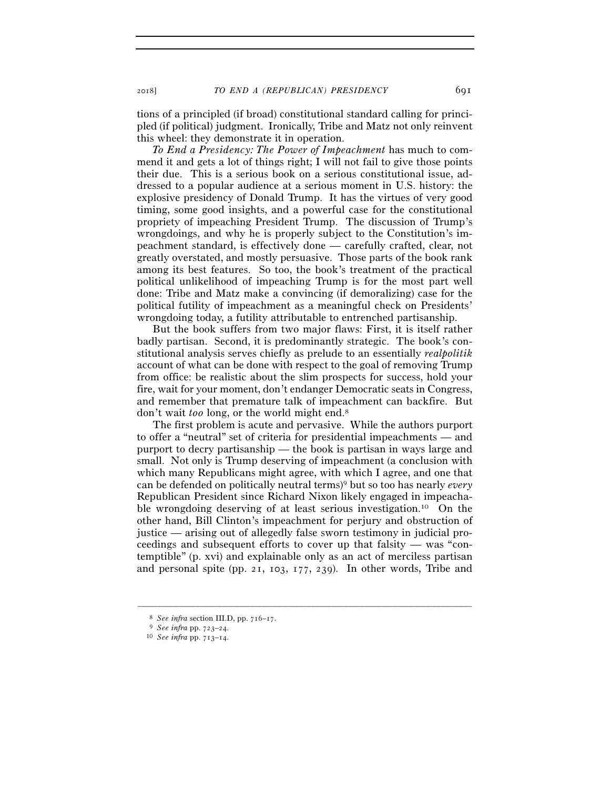tions of a principled (if broad) constitutional standard calling for principled (if political) judgment. Ironically, Tribe and Matz not only reinvent this wheel: they demonstrate it in operation.

*To End a Presidency: The Power of Impeachment* has much to commend it and gets a lot of things right; I will not fail to give those points their due. This is a serious book on a serious constitutional issue, addressed to a popular audience at a serious moment in U.S. history: the explosive presidency of Donald Trump. It has the virtues of very good timing, some good insights, and a powerful case for the constitutional propriety of impeaching President Trump. The discussion of Trump's wrongdoings, and why he is properly subject to the Constitution's impeachment standard, is effectively done — carefully crafted, clear, not greatly overstated, and mostly persuasive. Those parts of the book rank among its best features. So too, the book's treatment of the practical political unlikelihood of impeaching Trump is for the most part well done: Tribe and Matz make a convincing (if demoralizing) case for the political futility of impeachment as a meaningful check on Presidents' wrongdoing today, a futility attributable to entrenched partisanship.

But the book suffers from two major flaws: First, it is itself rather badly partisan. Second, it is predominantly strategic. The book's constitutional analysis serves chiefly as prelude to an essentially *realpolitik* account of what can be done with respect to the goal of removing Trump from office: be realistic about the slim prospects for success, hold your fire, wait for your moment, don't endanger Democratic seats in Congress, and remember that premature talk of impeachment can backfire. But don't wait *too* long, or the world might end.8

The first problem is acute and pervasive. While the authors purport to offer a "neutral" set of criteria for presidential impeachments — and purport to decry partisanship — the book is partisan in ways large and small. Not only is Trump deserving of impeachment (a conclusion with which many Republicans might agree, with which I agree, and one that can be defended on politically neutral terms)9 but so too has nearly *every* Republican President since Richard Nixon likely engaged in impeachable wrongdoing deserving of at least serious investigation.10 On the other hand, Bill Clinton's impeachment for perjury and obstruction of justice — arising out of allegedly false sworn testimony in judicial proceedings and subsequent efforts to cover up that falsity — was "contemptible" (p. xvi) and explainable only as an act of merciless partisan and personal spite (pp. 21, 103, 177, 239). In other words, Tribe and

<sup>8</sup> *See infra* section III.D, pp. 716–<sup>17</sup>. 9 *See infra* pp. 723–<sup>24</sup>. 10 *See infra* pp. 713–14.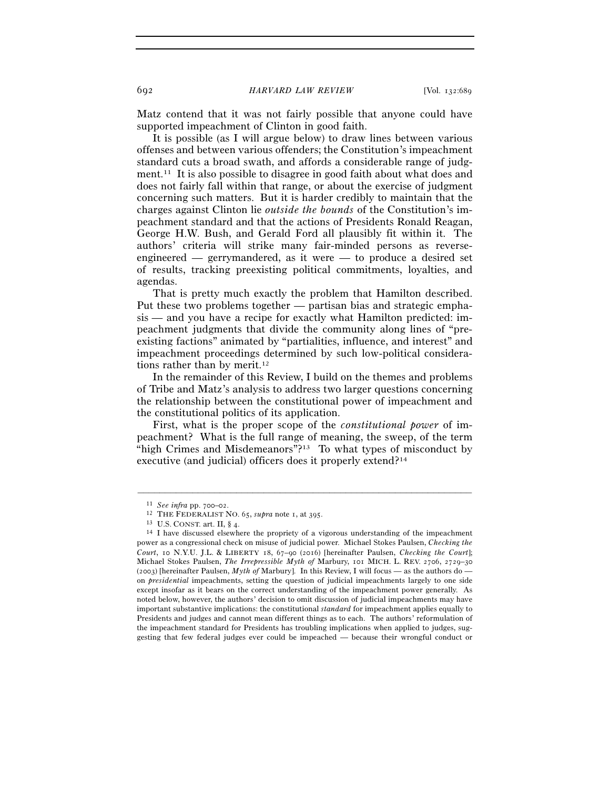Matz contend that it was not fairly possible that anyone could have supported impeachment of Clinton in good faith.

It is possible (as I will argue below) to draw lines between various offenses and between various offenders; the Constitution's impeachment standard cuts a broad swath, and affords a considerable range of judgment.11 It is also possible to disagree in good faith about what does and does not fairly fall within that range, or about the exercise of judgment concerning such matters. But it is harder credibly to maintain that the charges against Clinton lie *outside the bounds* of the Constitution's impeachment standard and that the actions of Presidents Ronald Reagan, George H.W. Bush, and Gerald Ford all plausibly fit within it. The authors' criteria will strike many fair-minded persons as reverseengineered — gerrymandered, as it were — to produce a desired set of results, tracking preexisting political commitments, loyalties, and agendas.

That is pretty much exactly the problem that Hamilton described. Put these two problems together — partisan bias and strategic emphasis — and you have a recipe for exactly what Hamilton predicted: impeachment judgments that divide the community along lines of "preexisting factions" animated by "partialities, influence, and interest" and impeachment proceedings determined by such low-political considerations rather than by merit.<sup>12</sup>

In the remainder of this Review, I build on the themes and problems of Tribe and Matz's analysis to address two larger questions concerning the relationship between the constitutional power of impeachment and the constitutional politics of its application.

First, what is the proper scope of the *constitutional power* of impeachment? What is the full range of meaning, the sweep, of the term "high Crimes and Misdemeanors"?<sup>13</sup> To what types of misconduct by executive (and judicial) officers does it properly extend?14

<sup>11</sup> *See infra* pp. 700–02.<br><sup>12</sup> THE FEDERALIST NO. 65, *supra* note 1, at 395.<br><sup>13</sup> U.S. CONST. art. II, § 4.<br><sup>14</sup> I have discussed elsewhere the propriety of a vigorous understanding of the impeachment power as a congressional check on misuse of judicial power. Michael Stokes Paulsen, *Checking the Court*, 10 N.Y.U. J.L. & LIBERTY 18, 67–90 (2016) [hereinafter Paulsen, *Checking the Court*]; Michael Stokes Paulsen, *The Irrepressible Myth of* Marbury, 101 MICH. L. REV. 2706, 2729–30 (2003) [hereinafter Paulsen, *Myth of* Marbury]. In this Review, I will focus — as the authors do on *presidential* impeachments, setting the question of judicial impeachments largely to one side except insofar as it bears on the correct understanding of the impeachment power generally. As noted below, however, the authors' decision to omit discussion of judicial impeachments may have important substantive implications: the constitutional *standard* for impeachment applies equally to Presidents and judges and cannot mean different things as to each. The authors' reformulation of the impeachment standard for Presidents has troubling implications when applied to judges, suggesting that few federal judges ever could be impeached — because their wrongful conduct or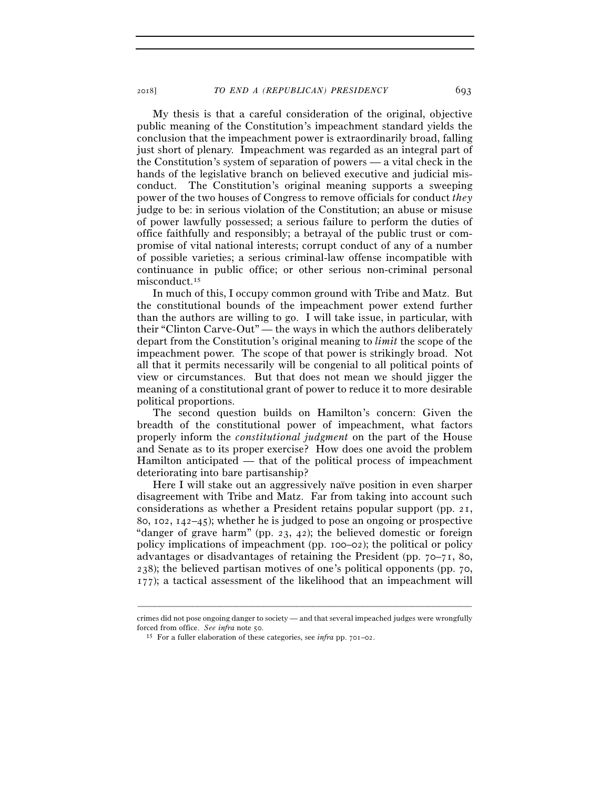My thesis is that a careful consideration of the original, objective public meaning of the Constitution's impeachment standard yields the conclusion that the impeachment power is extraordinarily broad, falling just short of plenary. Impeachment was regarded as an integral part of the Constitution's system of separation of powers — a vital check in the hands of the legislative branch on believed executive and judicial misconduct. The Constitution's original meaning supports a sweeping power of the two houses of Congress to remove officials for conduct *they* judge to be: in serious violation of the Constitution; an abuse or misuse of power lawfully possessed; a serious failure to perform the duties of office faithfully and responsibly; a betrayal of the public trust or compromise of vital national interests; corrupt conduct of any of a number of possible varieties; a serious criminal-law offense incompatible with continuance in public office; or other serious non-criminal personal misconduct.<sup>15</sup>

In much of this, I occupy common ground with Tribe and Matz. But the constitutional bounds of the impeachment power extend further than the authors are willing to go. I will take issue, in particular, with their "Clinton Carve-Out" — the ways in which the authors deliberately depart from the Constitution's original meaning to *limit* the scope of the impeachment power. The scope of that power is strikingly broad. Not all that it permits necessarily will be congenial to all political points of view or circumstances. But that does not mean we should jigger the meaning of a constitutional grant of power to reduce it to more desirable political proportions.

The second question builds on Hamilton's concern: Given the breadth of the constitutional power of impeachment, what factors properly inform the *constitutional judgment* on the part of the House and Senate as to its proper exercise? How does one avoid the problem Hamilton anticipated — that of the political process of impeachment deteriorating into bare partisanship?

Here I will stake out an aggressively naïve position in even sharper disagreement with Tribe and Matz. Far from taking into account such considerations as whether a President retains popular support (pp. 21, 80, 102, 142–45); whether he is judged to pose an ongoing or prospective "danger of grave harm" (pp. 23, 42); the believed domestic or foreign policy implications of impeachment (pp. 100–02); the political or policy advantages or disadvantages of retaining the President (pp. 70–71, 80, 238); the believed partisan motives of one's political opponents (pp. 70, 177); a tactical assessment of the likelihood that an impeachment will

<sup>–––––––––––––––––––––––––––––––––––––––––––––––––––––––––––––</sup> crimes did not pose ongoing danger to society — and that several impeached judges were wrongfully forced from office. *See infra* note 50. 15 For a fuller elaboration of these categories, see *infra* pp. 701–02.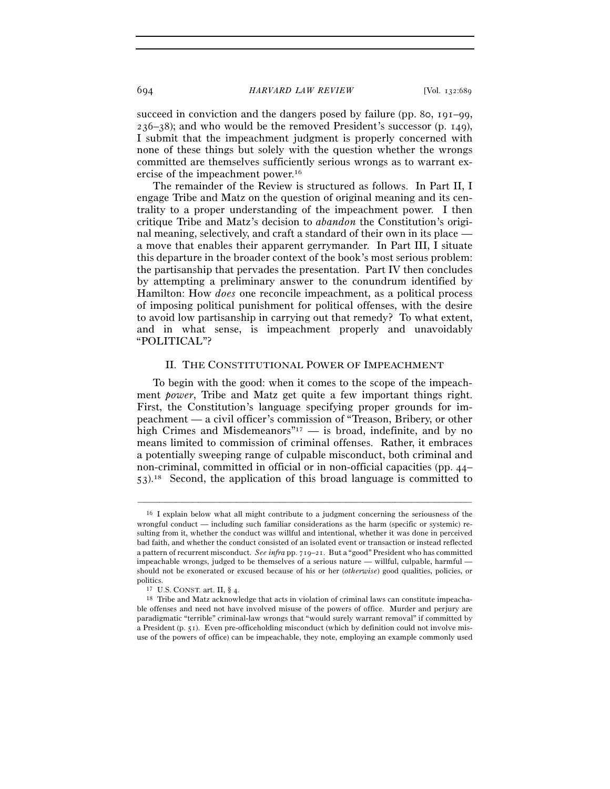succeed in conviction and the dangers posed by failure (pp. 80, 191–99,  $236-38$ ; and who would be the removed President's successor (p. 149), I submit that the impeachment judgment is properly concerned with none of these things but solely with the question whether the wrongs committed are themselves sufficiently serious wrongs as to warrant exercise of the impeachment power.16

The remainder of the Review is structured as follows. In Part II, I engage Tribe and Matz on the question of original meaning and its centrality to a proper understanding of the impeachment power. I then critique Tribe and Matz's decision to *abandon* the Constitution's original meaning, selectively, and craft a standard of their own in its place a move that enables their apparent gerrymander. In Part III, I situate this departure in the broader context of the book's most serious problem: the partisanship that pervades the presentation. Part IV then concludes by attempting a preliminary answer to the conundrum identified by Hamilton: How *does* one reconcile impeachment, as a political process of imposing political punishment for political offenses, with the desire to avoid low partisanship in carrying out that remedy? To what extent, and in what sense, is impeachment properly and unavoidably "POLITICAL"?

## II. THE CONSTITUTIONAL POWER OF IMPEACHMENT

To begin with the good: when it comes to the scope of the impeachment *power*, Tribe and Matz get quite a few important things right. First, the Constitution's language specifying proper grounds for impeachment — a civil officer's commission of "Treason, Bribery, or other high Crimes and Misdemeanors<sup>"17</sup> — is broad, indefinite, and by no means limited to commission of criminal offenses. Rather, it embraces a potentially sweeping range of culpable misconduct, both criminal and non-criminal, committed in official or in non-official capacities (pp. 44– 53).18 Second, the application of this broad language is committed to

<sup>16</sup> I explain below what all might contribute to a judgment concerning the seriousness of the wrongful conduct — including such familiar considerations as the harm (specific or systemic) resulting from it, whether the conduct was willful and intentional, whether it was done in perceived bad faith, and whether the conduct consisted of an isolated event or transaction or instead reflected a pattern of recurrent misconduct. *See infra* pp. 719–21. But a "good" President who has committed impeachable wrongs, judged to be themselves of a serious nature — willful, culpable, harmful should not be exonerated or excused because of his or her (*otherwise*) good qualities, policies, or politics.<br><sup>17</sup> U.S. CONST. art. II, § 4. 18 Tribe and Matz acknowledge that acts in violation of criminal laws can constitute impeacha-

ble offenses and need not have involved misuse of the powers of office. Murder and perjury are paradigmatic "terrible" criminal-law wrongs that "would surely warrant removal" if committed by a President (p. 51). Even pre-officeholding misconduct (which by definition could not involve misuse of the powers of office) can be impeachable, they note, employing an example commonly used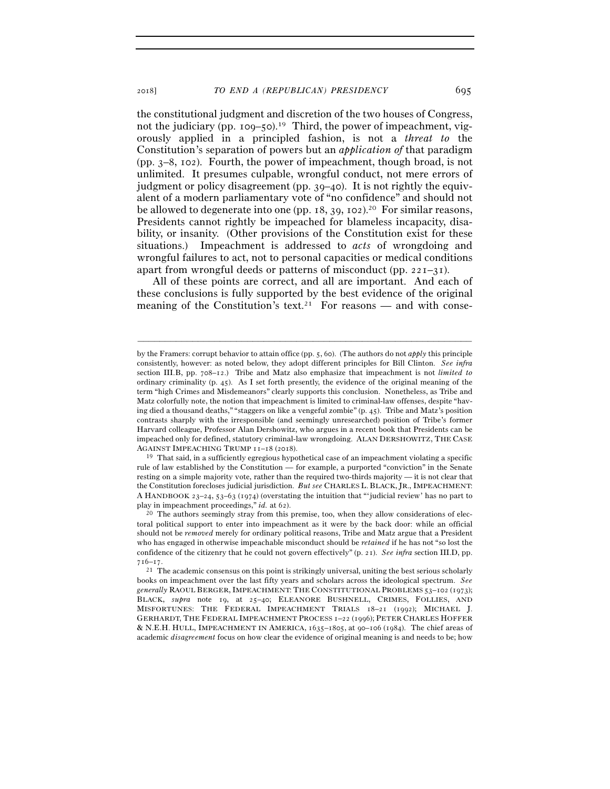the constitutional judgment and discretion of the two houses of Congress, not the judiciary (pp. 109–50).<sup>19</sup> Third, the power of impeachment, vigorously applied in a principled fashion, is not a *threat to* the Constitution's separation of powers but an *application of* that paradigm (pp. 3–8, 102). Fourth, the power of impeachment, though broad, is not unlimited. It presumes culpable, wrongful conduct, not mere errors of judgment or policy disagreement (pp. 39–40). It is not rightly the equivalent of a modern parliamentary vote of "no confidence" and should not be allowed to degenerate into one (pp.  $18, 39, 102$ ).<sup>20</sup> For similar reasons, Presidents cannot rightly be impeached for blameless incapacity, disability, or insanity. (Other provisions of the Constitution exist for these situations.) Impeachment is addressed to *acts* of wrongdoing and wrongful failures to act, not to personal capacities or medical conditions apart from wrongful deeds or patterns of misconduct (pp. 221–31).

All of these points are correct, and all are important. And each of these conclusions is fully supported by the best evidence of the original meaning of the Constitution's text.<sup>21</sup> For reasons — and with conse-

–––––––––––––––––––––––––––––––––––––––––––––––––––––––––––––

<sup>19</sup> That said, in a sufficiently egregious hypothetical case of an impeachment violating a specific rule of law established by the Constitution — for example, a purported "conviction" in the Senate resting on a simple majority vote, rather than the required two-thirds majority — it is not clear that the Constitution forecloses judicial jurisdiction. *But see* CHARLES L. BLACK, JR., IMPEACHMENT: A HANDBOOK 23–24, 53–63 (1974) (overstating the intuition that "'judicial review' has no part to

by the Framers: corrupt behavior to attain office (pp. 5, 60). (The authors do not *apply* this principle consistently, however: as noted below, they adopt different principles for Bill Clinton. *See infra* section III.B, pp. 708–12.) Tribe and Matz also emphasize that impeachment is not *limited to* ordinary criminality (p. 45). As I set forth presently, the evidence of the original meaning of the term "high Crimes and Misdemeanors" clearly supports this conclusion. Nonetheless, as Tribe and Matz colorfully note, the notion that impeachment is limited to criminal-law offenses, despite "having died a thousand deaths," "staggers on like a vengeful zombie" (p. 45). Tribe and Matz's position contrasts sharply with the irresponsible (and seemingly unresearched) position of Tribe's former Harvard colleague, Professor Alan Dershowitz, who argues in a recent book that Presidents can be impeached only for defined, statutory criminal-law wrongdoing. ALAN DERSHOWITZ, THE CASE AGAINST IMPEACHING TRUMP  $_{11-18}$  (2018).

play in impeachment proceedings," *id.* at 62).<br><sup>20</sup> The authors seemingly stray from this premise, too, when they allow considerations of electoral political support to enter into impeachment as it were by the back door: while an official should not be *removed* merely for ordinary political reasons, Tribe and Matz argue that a President who has engaged in otherwise impeachable misconduct should be *retained* if he has not "so lost the confidence of the citizenry that he could not govern effectively" (p. 21). *See infra* section III.D, pp.  $716-17$ .<br><sup>21</sup> The academic consensus on this point is strikingly universal, uniting the best serious scholarly

books on impeachment over the last fifty years and scholars across the ideological spectrum. *See generally* RAOUL BERGER, IMPEACHMENT: THE CONSTITUTIONAL PROBLEMS 53–102 (1973); BLACK, *supra* note 19, at 25–40; ELEANORE BUSHNELL, CRIMES, FOLLIES, AND MISFORTUNES: THE FEDERAL IMPEACHMENT TRIALS 18–21 (1992); MICHAEL J. GERHARDT, THE FEDERAL IMPEACHMENT PROCESS 1–22 (1996); PETER CHARLES HOFFER & N.E.H. HULL, IMPEACHMENT IN AMERICA, 1635–1805, at 90–106 (1984). The chief areas of academic *disagreement* focus on how clear the evidence of original meaning is and needs to be; how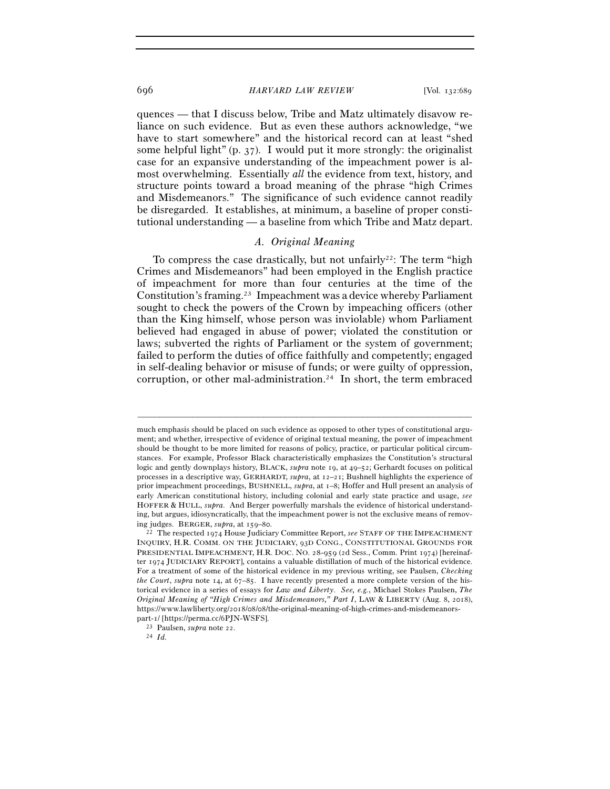quences — that I discuss below, Tribe and Matz ultimately disavow reliance on such evidence. But as even these authors acknowledge, "we have to start somewhere" and the historical record can at least "shed some helpful light" (p.  $37$ ). I would put it more strongly: the originalist case for an expansive understanding of the impeachment power is almost overwhelming. Essentially *all* the evidence from text, history, and structure points toward a broad meaning of the phrase "high Crimes and Misdemeanors." The significance of such evidence cannot readily be disregarded. It establishes, at minimum, a baseline of proper constitutional understanding — a baseline from which Tribe and Matz depart.

# *A. Original Meaning*

To compress the case drastically, but not unfairly<sup>22</sup>: The term "high" Crimes and Misdemeanors" had been employed in the English practice of impeachment for more than four centuries at the time of the Constitution's framing.23 Impeachment was a device whereby Parliament sought to check the powers of the Crown by impeaching officers (other than the King himself, whose person was inviolable) whom Parliament believed had engaged in abuse of power; violated the constitution or laws; subverted the rights of Parliament or the system of government; failed to perform the duties of office faithfully and competently; engaged in self-dealing behavior or misuse of funds; or were guilty of oppression, corruption, or other mal-administration.<sup>24</sup> In short, the term embraced

much emphasis should be placed on such evidence as opposed to other types of constitutional argument; and whether, irrespective of evidence of original textual meaning, the power of impeachment should be thought to be more limited for reasons of policy, practice, or particular political circumstances. For example, Professor Black characteristically emphasizes the Constitution's structural logic and gently downplays history, BLACK, *supra* note 19, at 49–52; Gerhardt focuses on political processes in a descriptive way, GERHARDT, *supra*, at 12–21; Bushnell highlights the experience of prior impeachment proceedings, BUSHNELL, *supra*, at 1–8; Hoffer and Hull present an analysis of early American constitutional history, including colonial and early state practice and usage, *see*  HOFFER & HULL, *supra*. And Berger powerfully marshals the evidence of historical understanding, but argues, idiosyncratically, that the impeachment power is not the exclusive means of removing judges. BERGER, *supra*, at 159–<sup>80</sup>. 22 The respected 1974 House Judiciary Committee Report, *see* STAFF OF THE IMPEACHMENT

INQUIRY, H.R. COMM. ON THE JUDICIARY, 93D CONG., CONSTITUTIONAL GROUNDS FOR PRESIDENTIAL IMPEACHMENT, H.R. DOC. NO. 28-959 (2d Sess., Comm. Print 1974) [hereinafter 1974 JUDICIARY REPORT], contains a valuable distillation of much of the historical evidence. For a treatment of some of the historical evidence in my previous writing, see Paulsen, *Checking the Court*, *supra* note 14, at 67–85. I have recently presented a more complete version of the historical evidence in a series of essays for *Law and Liberty*. *See, e.g.*, Michael Stokes Paulsen, *The Original Meaning of "High Crimes and Misdemeanors," Part I*, LAW & LIBERTY (Aug. 8, 2018), https://www.lawliberty.org/2018/08/08/the-original-meaning-of-high-crimes-and-misdemeanors-

part-1/ [https://perma.cc/<sup>6</sup>PJN-WSFS]. 23 Paulsen, *supra* note <sup>22</sup>. 24 *Id.*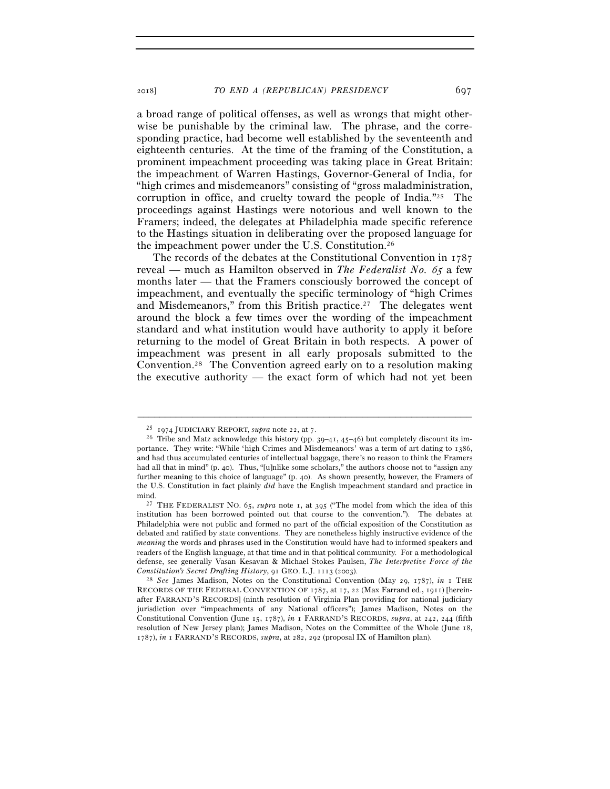a broad range of political offenses, as well as wrongs that might otherwise be punishable by the criminal law. The phrase, and the corresponding practice, had become well established by the seventeenth and eighteenth centuries. At the time of the framing of the Constitution, a prominent impeachment proceeding was taking place in Great Britain: the impeachment of Warren Hastings, Governor-General of India, for "high crimes and misdemeanors" consisting of "gross maladministration, corruption in office, and cruelty toward the people of India."25 The proceedings against Hastings were notorious and well known to the Framers; indeed, the delegates at Philadelphia made specific reference to the Hastings situation in deliberating over the proposed language for the impeachment power under the U.S. Constitution.26

The records of the debates at the Constitutional Convention in 1787 reveal — much as Hamilton observed in *The Federalist No.* 65 a few months later — that the Framers consciously borrowed the concept of impeachment, and eventually the specific terminology of "high Crimes and Misdemeanors," from this British practice.<sup>27</sup> The delegates went around the block a few times over the wording of the impeachment standard and what institution would have authority to apply it before returning to the model of Great Britain in both respects. A power of impeachment was present in all early proposals submitted to the Convention.28 The Convention agreed early on to a resolution making the executive authority — the exact form of which had not yet been

<sup>&</sup>lt;sup>25</sup> 1974 JUDICIARY REPORT, *supra* note 22, at 7.<br><sup>26</sup> Tribe and Matz acknowledge this history (pp. 39–41, 45–46) but completely discount its importance. They write: "While 'high Crimes and Misdemeanors' was a term of art dating to 1386, and had thus accumulated centuries of intellectual baggage, there's no reason to think the Framers had all that in mind" (p. 40). Thus, "[u]nlike some scholars," the authors choose not to "assign any further meaning to this choice of language" (p. 40). As shown presently, however, the Framers of the U.S. Constitution in fact plainly *did* have the English impeachment standard and practice in mind. 27 THE FEDERALIST NO. 65, *supra* note 1, at 395 ("The model from which the idea of this

institution has been borrowed pointed out that course to the convention."). The debates at Philadelphia were not public and formed no part of the official exposition of the Constitution as debated and ratified by state conventions. They are nonetheless highly instructive evidence of the *meaning* the words and phrases used in the Constitution would have had to informed speakers and readers of the English language, at that time and in that political community. For a methodological defense, see generally Vasan Kesavan & Michael Stokes Paulsen, *The Interpretive Force of the Constitution's Secret Drafting History*, 91 GEO. L.J. 1113 (<sup>2003</sup>). 28 *See* James Madison, Notes on the Constitutional Convention (May 29, 1787), *in* <sup>1</sup> THE

RECORDS OF THE FEDERAL CONVENTION OF 1787, at 17, 22 (Max Farrand ed., 1911) [hereinafter FARRAND'S RECORDS] (ninth resolution of Virginia Plan providing for national judiciary jurisdiction over "impeachments of any National officers"); James Madison, Notes on the Constitutional Convention (June 15, 1787), *in* 1 FARRAND'S RECORDS, *supra*, at 242, 244 (fifth resolution of New Jersey plan); James Madison, Notes on the Committee of the Whole (June 18, 1787), *in* 1 FARRAND'S RECORDS, *supra*, at 282, 292 (proposal IX of Hamilton plan).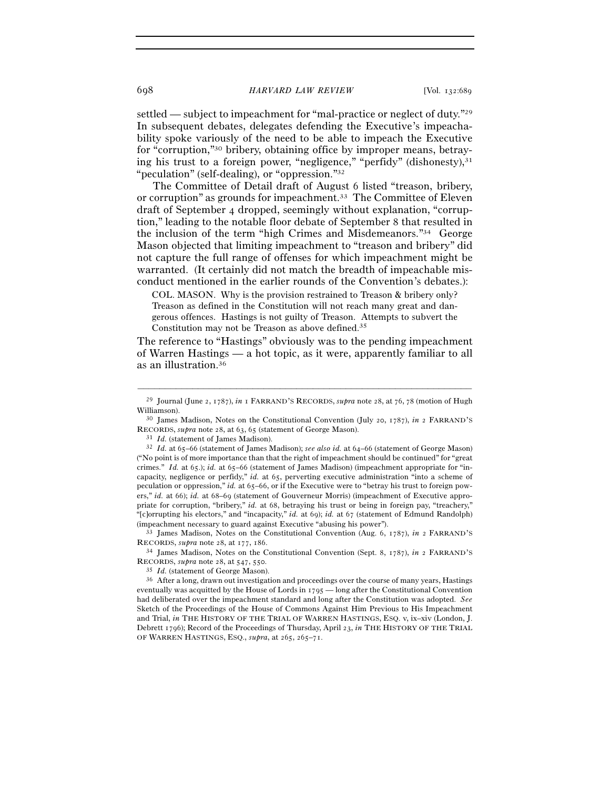settled — subject to impeachment for "mal-practice or neglect of duty."29 In subsequent debates, delegates defending the Executive's impeachability spoke variously of the need to be able to impeach the Executive for "corruption,"30 bribery, obtaining office by improper means, betraying his trust to a foreign power, "negligence," "perfidy" (dishonesty), $31$ "peculation" (self-dealing), or "oppression."32

The Committee of Detail draft of August 6 listed "treason, bribery, or corruption" as grounds for impeachment.33 The Committee of Eleven draft of September 4 dropped, seemingly without explanation, "corruption," leading to the notable floor debate of September 8 that resulted in the inclusion of the term "high Crimes and Misdemeanors."34 George Mason objected that limiting impeachment to "treason and bribery" did not capture the full range of offenses for which impeachment might be warranted. (It certainly did not match the breadth of impeachable misconduct mentioned in the earlier rounds of the Convention's debates.):

COL. MASON. Why is the provision restrained to Treason & bribery only? Treason as defined in the Constitution will not reach many great and dangerous offences. Hastings is not guilty of Treason. Attempts to subvert the Constitution may not be Treason as above defined.35

The reference to "Hastings" obviously was to the pending impeachment of Warren Hastings — a hot topic, as it were, apparently familiar to all as an illustration.36

RECORDS, *supra* note 28, at 63, 65 (statement of George Mason).<br><sup>31</sup> *Id.* (statement of James Madison). *see also id.* at 64–66 (statement of George Mason)<br><sup>32</sup> *Id.* at 65–66 (statement of James Madison); *see also id.* 

<sup>33</sup> James Madison, Notes on the Constitutional Convention (Aug. 6, 1787), *in* 2 FARRAND'S RECORDS, *supra* note 28, at 177, 186.<br><sup>34</sup> James Madison, Notes on the Constitutional Convention (Sept. 8, 1787), *in* 2 FARRAND'S

<sup>–––––––––––––––––––––––––––––––––––––––––––––––––––––––––––––</sup> <sup>29</sup> Journal (June 2, 1787), *in* 1 FARRAND'S RECORDS, *supra* note 28, at 76, 78 (motion of Hugh Williamson). 30 James Madison, Notes on the Constitutional Convention (July 20, 1787), *in* <sup>2</sup> FARRAND'S

<sup>(&</sup>quot;No point is of more importance than that the right of impeachment should be continued" for "great crimes." *Id.* at 65.); *id.* at 65–66 (statement of James Madison) (impeachment appropriate for "incapacity, negligence or perfidy," *id.* at 65, perverting executive administration "into a scheme of peculation or oppression," *id.* at 65–66, or if the Executive were to "betray his trust to foreign powers," *id.* at 66); *id.* at 68–69 (statement of Gouverneur Morris) (impeachment of Executive appropriate for corruption, "bribery," *id.* at 68, betraying his trust or being in foreign pay, "treachery," "[c]orrupting his electors," and "incapacity," *id.* at 69); *id.* at 67 (statement of Edmund Randolph) (impeachment necessary to guard against Executive "abusing his power").

RECORDS, *supra* note 28, at 547, 550.<br><sup>35</sup> *Id.* (statement of George Mason).<br><sup>36</sup> After a long, drawn out investigation and proceedings over the course of many years, Hastings eventually was acquitted by the House of Lords in 1795 — long after the Constitutional Convention had deliberated over the impeachment standard and long after the Constitution was adopted. *See* Sketch of the Proceedings of the House of Commons Against Him Previous to His Impeachment and Trial, *in* THE HISTORY OF THE TRIAL OF WARREN HASTINGS, ESO. v, ix-xiv (London, J. Debrett 1796); Record of the Proceedings of Thursday, April 23, *in* THE HISTORY OF THE TRIAL OF WARREN HASTINGS, ESQ., *supra*, at 265, 265–71.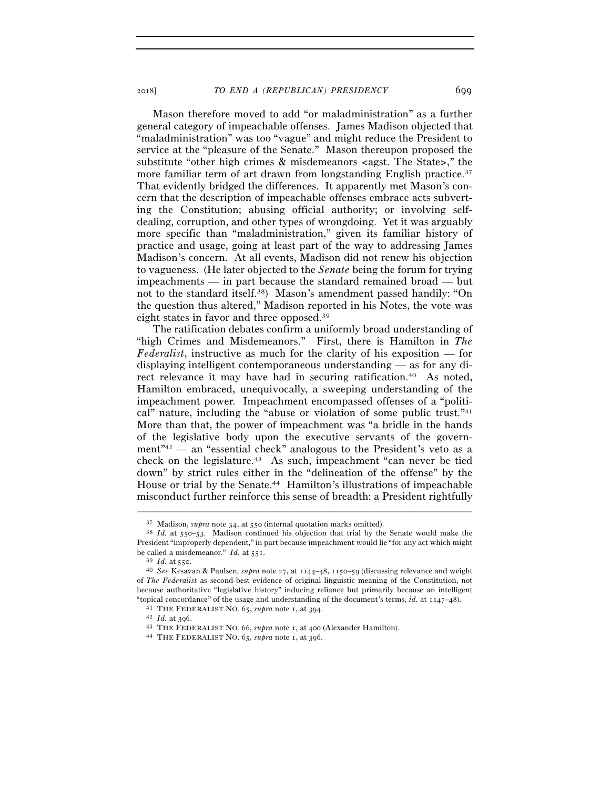Mason therefore moved to add "or maladministration" as a further general category of impeachable offenses. James Madison objected that "maladministration" was too "vague" and might reduce the President to service at the "pleasure of the Senate." Mason thereupon proposed the substitute "other high crimes & misdemeanors <agst. The State>," the more familiar term of art drawn from longstanding English practice.<sup>37</sup> That evidently bridged the differences. It apparently met Mason's concern that the description of impeachable offenses embrace acts subverting the Constitution; abusing official authority; or involving selfdealing, corruption, and other types of wrongdoing. Yet it was arguably more specific than "maladministration," given its familiar history of practice and usage, going at least part of the way to addressing James Madison's concern. At all events, Madison did not renew his objection to vagueness. (He later objected to the *Senate* being the forum for trying impeachments — in part because the standard remained broad — but not to the standard itself.38) Mason's amendment passed handily: "On the question thus altered," Madison reported in his Notes, the vote was eight states in favor and three opposed.39

The ratification debates confirm a uniformly broad understanding of "high Crimes and Misdemeanors." First, there is Hamilton in *The Federalist*, instructive as much for the clarity of his exposition — for displaying intelligent contemporaneous understanding — as for any direct relevance it may have had in securing ratification.40 As noted, Hamilton embraced, unequivocally, a sweeping understanding of the impeachment power. Impeachment encompassed offenses of a "political" nature, including the "abuse or violation of some public trust."41 More than that, the power of impeachment was "a bridle in the hands of the legislative body upon the executive servants of the government"42 — an "essential check" analogous to the President's veto as a check on the legislature.43 As such, impeachment "can never be tied down" by strict rules either in the "delineation of the offense" by the House or trial by the Senate.<sup>44</sup> Hamilton's illustrations of impeachable misconduct further reinforce this sense of breadth: a President rightfully

<sup>&</sup>lt;sup>37</sup> Madison, *supra* note 34, at 550 (internal quotation marks omitted).<br><sup>38</sup> *Id.* at 550–53. Madison continued his objection that trial by the Senate would make the President "improperly dependent," in part because impeachment would lie "for any act which might be called a misdemeanor." *Id.* at <sup>551</sup>. 39 *Id.* at <sup>550</sup>. 40 *See* Kesavan & Paulsen, *supra* note 27, at 1144–48, 1150–59 (discussing relevance and weight

of *The Federalist* as second-best evidence of original linguistic meaning of the Constitution, not because authoritative "legislative history" inducing reliance but primarily because an intelligent "topical concordance" of the usage and understanding of the document's terms, *id.* at  $1147-48$ ).<br>
<sup>41</sup> THE FEDERALIST NO. 65, *supra* note 1, at 394.<br>
<sup>42</sup> Id. at 396.<br>
<sup>43</sup> THE FEDERALIST NO. 66, *supra* note 1, at 400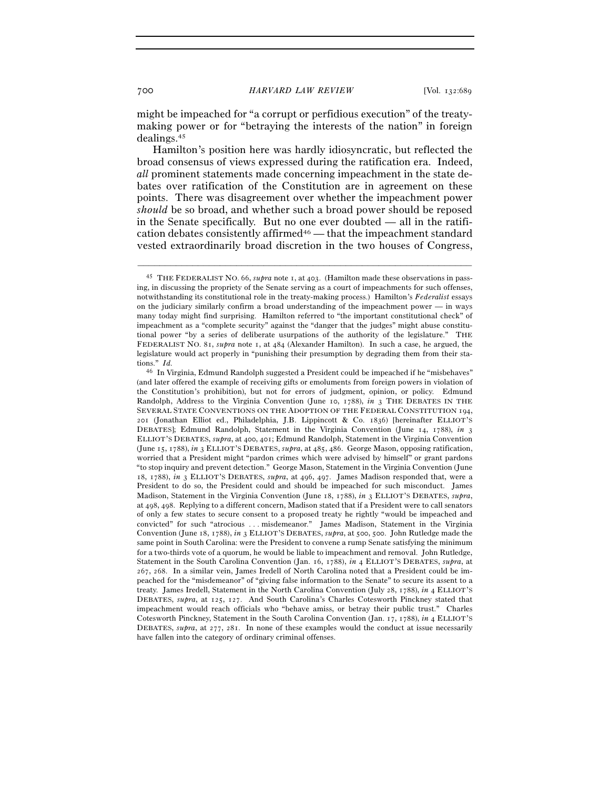might be impeached for "a corrupt or perfidious execution" of the treatymaking power or for "betraying the interests of the nation" in foreign dealings.45

Hamilton's position here was hardly idiosyncratic, but reflected the broad consensus of views expressed during the ratification era. Indeed, *all* prominent statements made concerning impeachment in the state debates over ratification of the Constitution are in agreement on these points. There was disagreement over whether the impeachment power *should* be so broad, and whether such a broad power should be reposed in the Senate specifically. But no one ever doubted — all in the ratification debates consistently affirmed<sup>46</sup> — that the impeachment standard vested extraordinarily broad discretion in the two houses of Congress,

<sup>45</sup> THE FEDERALIST NO. 66, *supra* note 1, at 403. (Hamilton made these observations in passing, in discussing the propriety of the Senate serving as a court of impeachments for such offenses, notwithstanding its constitutional role in the treaty-making process.) Hamilton's *Federalist* essays on the judiciary similarly confirm a broad understanding of the impeachment power — in ways many today might find surprising. Hamilton referred to "the important constitutional check" of impeachment as a "complete security" against the "danger that the judges" might abuse constitutional power "by a series of deliberate usurpations of the authority of the legislature." THE FEDERALIST NO. 81, *supra* note 1, at 484 (Alexander Hamilton). In such a case, he argued, the legislature would act properly in "punishing their presumption by degrading them from their stations." *Id.* 

<sup>46</sup> In Virginia, Edmund Randolph suggested a President could be impeached if he "misbehaves" (and later offered the example of receiving gifts or emoluments from foreign powers in violation of the Constitution's prohibition), but not for errors of judgment, opinion, or policy. Edmund Randolph, Address to the Virginia Convention (June 10, 1788), *in* 3 THE DEBATES IN THE SEVERAL STATE CONVENTIONS ON THE ADOPTION OF THE FEDERAL CONSTITUTION 194, 201 (Jonathan Elliot ed., Philadelphia, J.B. Lippincott & Co. 1836) [hereinafter ELLIOT'S DEBATES]; Edmund Randolph, Statement in the Virginia Convention (June 14, 1788), *in* 3 ELLIOT'S DEBATES, *supra*, at 400, 401; Edmund Randolph, Statement in the Virginia Convention (June 15, 1788), *in* 3 ELLIOT'S DEBATES, *supra*, at 485, 486. George Mason, opposing ratification, worried that a President might "pardon crimes which were advised by himself" or grant pardons "to stop inquiry and prevent detection." George Mason, Statement in the Virginia Convention (June 18, 1788), *in* 3 ELLIOT'S DEBATES, *supra*, at 496, 497. James Madison responded that, were a President to do so, the President could and should be impeached for such misconduct. James Madison, Statement in the Virginia Convention (June 18, 1788), *in* 3 ELLIOT'S DEBATES, *supra*, at 498, 498. Replying to a different concern, Madison stated that if a President were to call senators of only a few states to secure consent to a proposed treaty he rightly "would be impeached and convicted" for such "atrocious . . . misdemeanor." James Madison, Statement in the Virginia Convention (June 18, 1788), *in* 3 ELLIOT'S DEBATES, *supra*, at 500, 500. John Rutledge made the same point in South Carolina: were the President to convene a rump Senate satisfying the minimum for a two-thirds vote of a quorum, he would be liable to impeachment and removal. John Rutledge, Statement in the South Carolina Convention (Jan. 16, 1788), *in* 4 ELLIOT'S DEBATES, *supra*, at 267, 268. In a similar vein, James Iredell of North Carolina noted that a President could be impeached for the "misdemeanor" of "giving false information to the Senate" to secure its assent to a treaty. James Iredell, Statement in the North Carolina Convention (July 28, 1788), *in* 4 ELLIOT'S DEBATES, *supra*, at 125, 127. And South Carolina's Charles Cotesworth Pinckney stated that impeachment would reach officials who "behave amiss, or betray their public trust." Charles Cotesworth Pinckney, Statement in the South Carolina Convention (Jan. 17, 1788), *in* 4 ELLIOT'S DEBATES, *supra*, at 277, 281. In none of these examples would the conduct at issue necessarily have fallen into the category of ordinary criminal offenses.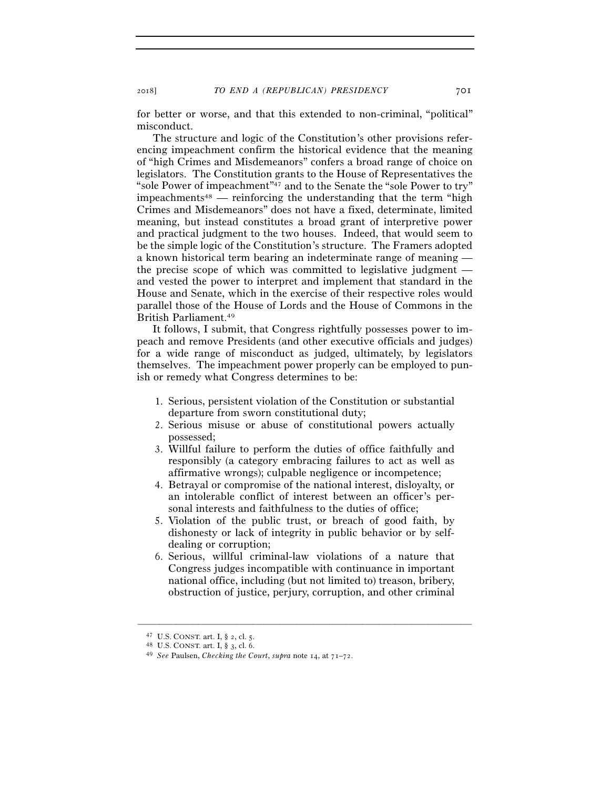for better or worse, and that this extended to non-criminal, "political" misconduct.

The structure and logic of the Constitution's other provisions referencing impeachment confirm the historical evidence that the meaning of "high Crimes and Misdemeanors" confers a broad range of choice on legislators. The Constitution grants to the House of Representatives the "sole Power of impeachment"47 and to the Senate the "sole Power to try"  $impeachments<sup>48</sup>$  — reinforcing the understanding that the term "high Crimes and Misdemeanors" does not have a fixed, determinate, limited meaning, but instead constitutes a broad grant of interpretive power and practical judgment to the two houses. Indeed, that would seem to be the simple logic of the Constitution's structure. The Framers adopted a known historical term bearing an indeterminate range of meaning the precise scope of which was committed to legislative judgment and vested the power to interpret and implement that standard in the House and Senate, which in the exercise of their respective roles would parallel those of the House of Lords and the House of Commons in the British Parliament.49

It follows, I submit, that Congress rightfully possesses power to impeach and remove Presidents (and other executive officials and judges) for a wide range of misconduct as judged, ultimately, by legislators themselves. The impeachment power properly can be employed to punish or remedy what Congress determines to be:

- 1. Serious, persistent violation of the Constitution or substantial departure from sworn constitutional duty;
- 2. Serious misuse or abuse of constitutional powers actually possessed;
- 3. Willful failure to perform the duties of office faithfully and responsibly (a category embracing failures to act as well as affirmative wrongs); culpable negligence or incompetence;
- 4. Betrayal or compromise of the national interest, disloyalty, or an intolerable conflict of interest between an officer's personal interests and faithfulness to the duties of office;
- 5. Violation of the public trust, or breach of good faith, by dishonesty or lack of integrity in public behavior or by selfdealing or corruption;
- 6. Serious, willful criminal-law violations of a nature that Congress judges incompatible with continuance in important national office, including (but not limited to) treason, bribery, obstruction of justice, perjury, corruption, and other criminal

<sup>47</sup> U.S. CONST. art. I, § 2, cl. <sup>5</sup>. 48 U.S. CONST. art. I, § 3, cl. <sup>6</sup>. 49 *See* Paulsen, *Checking the Court*, *supra* note 14, at 71–72.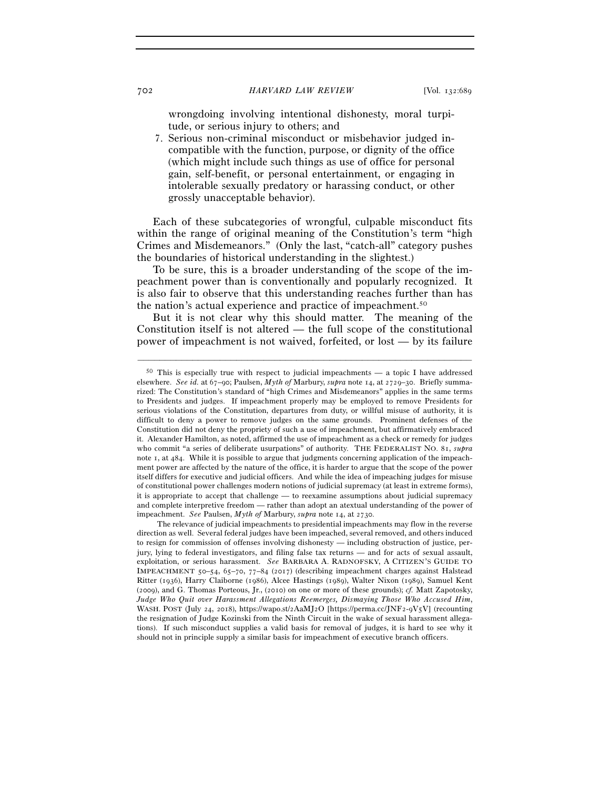wrongdoing involving intentional dishonesty, moral turpitude, or serious injury to others; and

7. Serious non-criminal misconduct or misbehavior judged incompatible with the function, purpose, or dignity of the office (which might include such things as use of office for personal gain, self-benefit, or personal entertainment, or engaging in intolerable sexually predatory or harassing conduct, or other grossly unacceptable behavior).

Each of these subcategories of wrongful, culpable misconduct fits within the range of original meaning of the Constitution's term "high Crimes and Misdemeanors." (Only the last, "catch-all" category pushes the boundaries of historical understanding in the slightest.)

To be sure, this is a broader understanding of the scope of the impeachment power than is conventionally and popularly recognized. It is also fair to observe that this understanding reaches further than has the nation's actual experience and practice of impeachment.50

But it is not clear why this should matter. The meaning of the Constitution itself is not altered — the full scope of the constitutional power of impeachment is not waived, forfeited, or lost — by its failure

<sup>50</sup> This is especially true with respect to judicial impeachments — a topic I have addressed elsewhere. *See id.* at 67–90; Paulsen, *Myth of* Marbury, *supra* note 14, at 2729–30. Briefly summarized: The Constitution's standard of "high Crimes and Misdemeanors" applies in the same terms to Presidents and judges. If impeachment properly may be employed to remove Presidents for serious violations of the Constitution, departures from duty, or willful misuse of authority, it is difficult to deny a power to remove judges on the same grounds. Prominent defenses of the Constitution did not deny the propriety of such a use of impeachment, but affirmatively embraced it. Alexander Hamilton, as noted, affirmed the use of impeachment as a check or remedy for judges who commit "a series of deliberate usurpations" of authority. THE FEDERALIST NO. 81, *supra* note 1, at 484. While it is possible to argue that judgments concerning application of the impeachment power are affected by the nature of the office, it is harder to argue that the scope of the power itself differs for executive and judicial officers. And while the idea of impeaching judges for misuse of constitutional power challenges modern notions of judicial supremacy (at least in extreme forms), it is appropriate to accept that challenge — to reexamine assumptions about judicial supremacy and complete interpretive freedom — rather than adopt an atextual understanding of the power of impeachment. *See* Paulsen, *Myth of* Marbury, *supra* note 14, at 2730.

The relevance of judicial impeachments to presidential impeachments may flow in the reverse direction as well. Several federal judges have been impeached, several removed, and others induced to resign for commission of offenses involving dishonesty — including obstruction of justice, perjury, lying to federal investigators, and filing false tax returns — and for acts of sexual assault, exploitation, or serious harassment. *See* BARBARA A. RADNOFSKY, A CITIZEN'S GUIDE TO IMPEACHMENT 50–54, 65–70, 77–84 (2017) (describing impeachment charges against Halstead Ritter (1936), Harry Claiborne (1986), Alcee Hastings (1989), Walter Nixon (1989), Samuel Kent (2009), and G. Thomas Porteous, Jr., (2010) on one or more of these grounds); *cf.* Matt Zapotosky, *Judge Who Quit over Harassment Allegations Reemerges, Dismaying Those Who Accused Him*, WASH. POST (July 24, 2018), https://wapo.st/2AaMJ2O [https://perma.cc/JNF2-9V5V] (recounting the resignation of Judge Kozinski from the Ninth Circuit in the wake of sexual harassment allegations). If such misconduct supplies a valid basis for removal of judges, it is hard to see why it should not in principle supply a similar basis for impeachment of executive branch officers.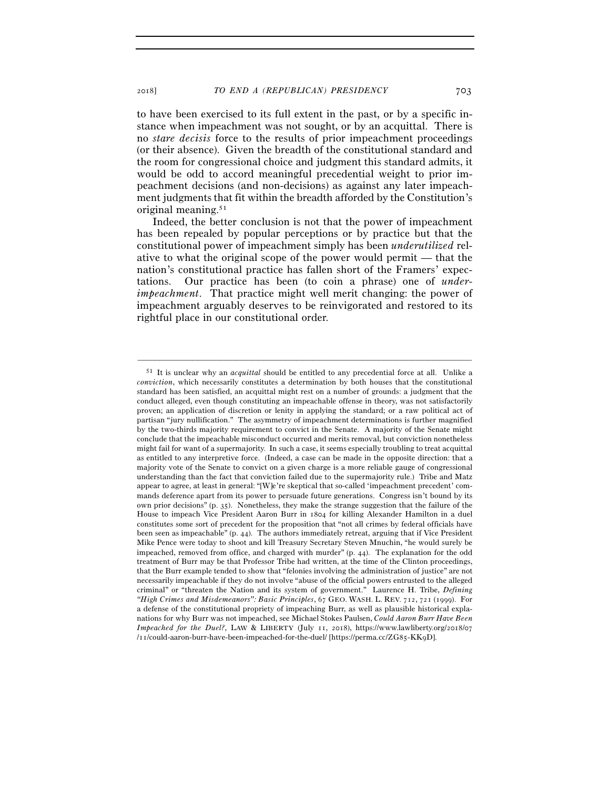to have been exercised to its full extent in the past, or by a specific instance when impeachment was not sought, or by an acquittal. There is no *stare decisis* force to the results of prior impeachment proceedings (or their absence). Given the breadth of the constitutional standard and the room for congressional choice and judgment this standard admits, it would be odd to accord meaningful precedential weight to prior impeachment decisions (and non-decisions) as against any later impeachment judgments that fit within the breadth afforded by the Constitution's original meaning.51

Indeed, the better conclusion is not that the power of impeachment has been repealed by popular perceptions or by practice but that the constitutional power of impeachment simply has been *underutilized* relative to what the original scope of the power would permit — that the nation's constitutional practice has fallen short of the Framers' expectations. Our practice has been (to coin a phrase) one of *underimpeachment*. That practice might well merit changing: the power of impeachment arguably deserves to be reinvigorated and restored to its rightful place in our constitutional order.

<sup>51</sup> It is unclear why an *acquittal* should be entitled to any precedential force at all. Unlike a *conviction*, which necessarily constitutes a determination by both houses that the constitutional standard has been satisfied, an acquittal might rest on a number of grounds: a judgment that the conduct alleged, even though constituting an impeachable offense in theory, was not satisfactorily proven; an application of discretion or lenity in applying the standard; or a raw political act of partisan "jury nullification." The asymmetry of impeachment determinations is further magnified by the two-thirds majority requirement to convict in the Senate. A majority of the Senate might conclude that the impeachable misconduct occurred and merits removal, but conviction nonetheless might fail for want of a supermajority. In such a case, it seems especially troubling to treat acquittal as entitled to any interpretive force. (Indeed, a case can be made in the opposite direction: that a majority vote of the Senate to convict on a given charge is a more reliable gauge of congressional understanding than the fact that conviction failed due to the supermajority rule.) Tribe and Matz appear to agree, at least in general: "[W]e're skeptical that so-called 'impeachment precedent' commands deference apart from its power to persuade future generations. Congress isn't bound by its own prior decisions" (p. 35). Nonetheless, they make the strange suggestion that the failure of the House to impeach Vice President Aaron Burr in 1804 for killing Alexander Hamilton in a duel constitutes some sort of precedent for the proposition that "not all crimes by federal officials have been seen as impeachable" (p. 44). The authors immediately retreat, arguing that if Vice President Mike Pence were today to shoot and kill Treasury Secretary Steven Mnuchin, "he would surely be impeached, removed from office, and charged with murder" (p. 44). The explanation for the odd treatment of Burr may be that Professor Tribe had written, at the time of the Clinton proceedings, that the Burr example tended to show that "felonies involving the administration of justice" are not necessarily impeachable if they do not involve "abuse of the official powers entrusted to the alleged criminal" or "threaten the Nation and its system of government." Laurence H. Tribe, *Defining "High Crimes and Misdemeanors": Basic Principles*, 67 GEO. WASH. L. REV. 712, 721 (1999). For a defense of the constitutional propriety of impeaching Burr, as well as plausible historical explanations for why Burr was not impeached, see Michael Stokes Paulsen, *Could Aaron Burr Have Been Impeached for the Duel?*, LAW & LIBERTY (July 11, 2018), https://www.lawliberty.org/2018/07 /11/could-aaron-burr-have-been-impeached-for-the-duel/ [https://perma.cc/ZG85-KK9D].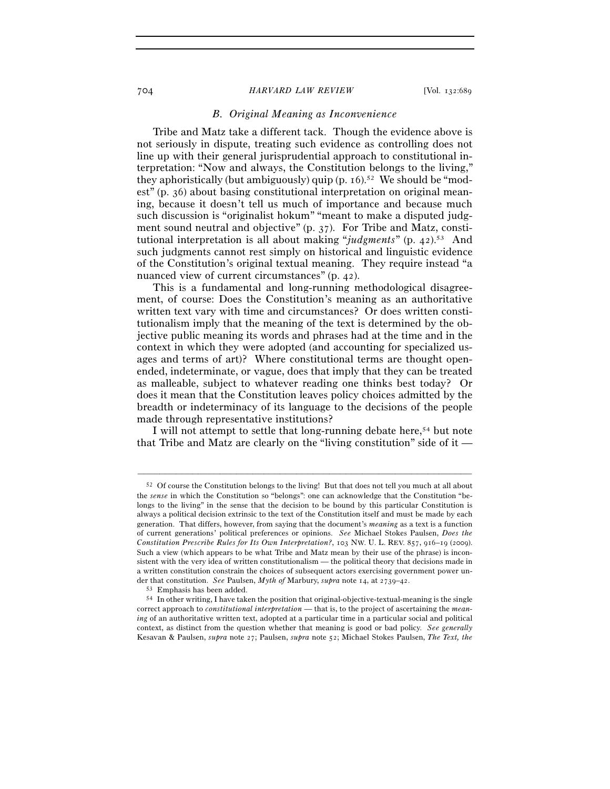# *B. Original Meaning as Inconvenience*

Tribe and Matz take a different tack. Though the evidence above is not seriously in dispute, treating such evidence as controlling does not line up with their general jurisprudential approach to constitutional interpretation: "Now and always, the Constitution belongs to the living," they aphoristically (but ambiguously) quip (p.  $16$ ).<sup>52</sup> We should be "modest" (p. 36) about basing constitutional interpretation on original meaning, because it doesn't tell us much of importance and because much such discussion is "originalist hokum" "meant to make a disputed judgment sound neutral and objective" (p. 37). For Tribe and Matz, constitutional interpretation is all about making "*judgments*" (p. 42).53 And such judgments cannot rest simply on historical and linguistic evidence of the Constitution's original textual meaning. They require instead "a nuanced view of current circumstances" (p. 42).

This is a fundamental and long-running methodological disagreement, of course: Does the Constitution's meaning as an authoritative written text vary with time and circumstances? Or does written constitutionalism imply that the meaning of the text is determined by the objective public meaning its words and phrases had at the time and in the context in which they were adopted (and accounting for specialized usages and terms of art)? Where constitutional terms are thought openended, indeterminate, or vague, does that imply that they can be treated as malleable, subject to whatever reading one thinks best today? Or does it mean that the Constitution leaves policy choices admitted by the breadth or indeterminacy of its language to the decisions of the people made through representative institutions?

I will not attempt to settle that long-running debate here,<sup>54</sup> but note that Tribe and Matz are clearly on the "living constitution" side of it —

<sup>52</sup> Of course the Constitution belongs to the living! But that does not tell you much at all about the *sense* in which the Constitution so "belongs": one can acknowledge that the Constitution "belongs to the living" in the sense that the decision to be bound by this particular Constitution is always a political decision extrinsic to the text of the Constitution itself and must be made by each generation. That differs, however, from saying that the document's *meaning* as a text is a function of current generations' political preferences or opinions. *See* Michael Stokes Paulsen, *Does the Constitution Prescribe Rules for Its Own Interpretation?*, 103 NW. U. L. REV. 857, 916–19 (2009). Such a view (which appears to be what Tribe and Matz mean by their use of the phrase) is inconsistent with the very idea of written constitutionalism — the political theory that decisions made in a written constitution constrain the choices of subsequent actors exercising government power under that constitution. See Paulsen, *Myth of Marbury, supra* note 14, at 2739–42.<br><sup>53</sup> Emphasis has been added.<br><sup>54</sup> In other writing, I have taken the position that original-objective-textual-meaning is the single

correct approach to *constitutional interpretation* — that is, to the project of ascertaining the *meaning* of an authoritative written text, adopted at a particular time in a particular social and political context, as distinct from the question whether that meaning is good or bad policy. *See generally* Kesavan & Paulsen, *supra* note 27; Paulsen, *supra* note 52; Michael Stokes Paulsen, *The Text, the*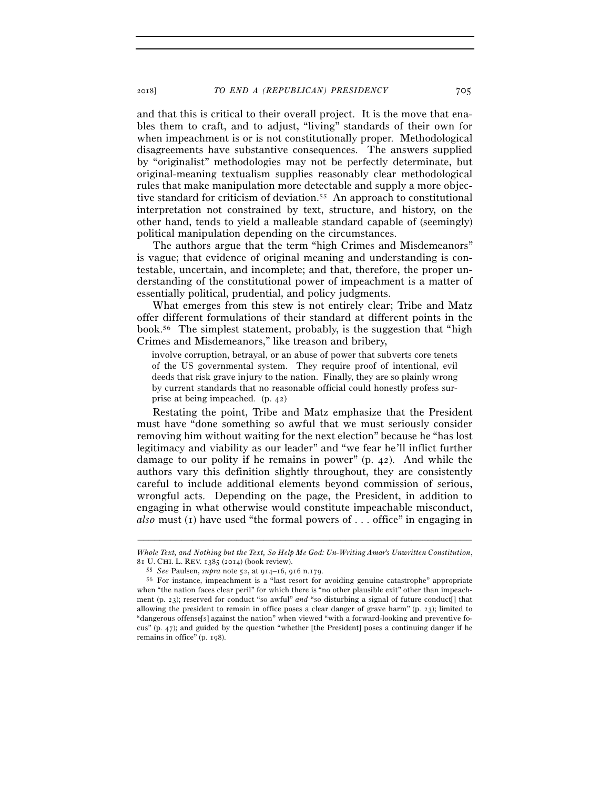and that this is critical to their overall project. It is the move that enables them to craft, and to adjust, "living" standards of their own for when impeachment is or is not constitutionally proper. Methodological disagreements have substantive consequences. The answers supplied by "originalist" methodologies may not be perfectly determinate, but original-meaning textualism supplies reasonably clear methodological rules that make manipulation more detectable and supply a more objective standard for criticism of deviation.55 An approach to constitutional interpretation not constrained by text, structure, and history, on the other hand, tends to yield a malleable standard capable of (seemingly) political manipulation depending on the circumstances.

The authors argue that the term "high Crimes and Misdemeanors" is vague; that evidence of original meaning and understanding is contestable, uncertain, and incomplete; and that, therefore, the proper understanding of the constitutional power of impeachment is a matter of essentially political, prudential, and policy judgments.

What emerges from this stew is not entirely clear; Tribe and Matz offer different formulations of their standard at different points in the book.56 The simplest statement, probably, is the suggestion that "high Crimes and Misdemeanors," like treason and bribery,

involve corruption, betrayal, or an abuse of power that subverts core tenets of the US governmental system. They require proof of intentional, evil deeds that risk grave injury to the nation. Finally, they are so plainly wrong by current standards that no reasonable official could honestly profess surprise at being impeached. (p. 42)

Restating the point, Tribe and Matz emphasize that the President must have "done something so awful that we must seriously consider removing him without waiting for the next election" because he "has lost legitimacy and viability as our leader" and "we fear he'll inflict further damage to our polity if he remains in power" (p. 42). And while the authors vary this definition slightly throughout, they are consistently careful to include additional elements beyond commission of serious, wrongful acts. Depending on the page, the President, in addition to engaging in what otherwise would constitute impeachable misconduct, *also* must (1) have used "the formal powers of . . . office" in engaging in

<sup>–––––––––––––––––––––––––––––––––––––––––––––––––––––––––––––</sup> *Whole Text, and Nothing but the Text, So Help Me God: Un-Writing Amar's Unwritten Constitution*,

<sup>81</sup> U. CHI. L. REV. 1385 (<sup>2014</sup>) (book review). 55 *See* Paulsen, *supra* note 52, at 914–16, 916 n.<sup>179</sup>. 56 For instance, impeachment is a "last resort for avoiding genuine catastrophe" appropriate when "the nation faces clear peril" for which there is "no other plausible exit" other than impeachment (p. 23); reserved for conduct "so awful" *and* "so disturbing a signal of future conduct[] that allowing the president to remain in office poses a clear danger of grave harm" (p. 23); limited to "dangerous offense[s] against the nation" when viewed "with a forward-looking and preventive focus" (p. 47); and guided by the question "whether [the President] poses a continuing danger if he remains in office" (p. 198).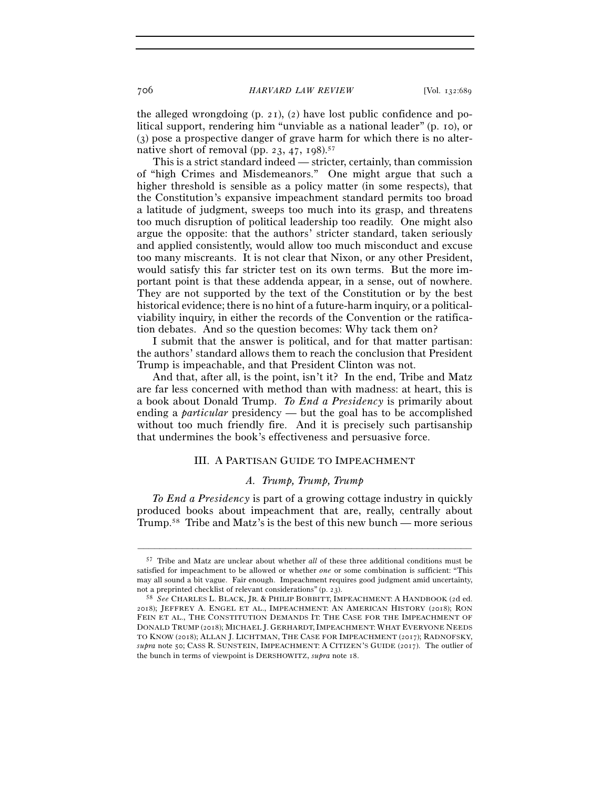the alleged wrongdoing (p. 21), (2) have lost public confidence and political support, rendering him "unviable as a national leader" (p. 10), or (3) pose a prospective danger of grave harm for which there is no alternative short of removal (pp. 23, 47, 198).<sup>57</sup>

This is a strict standard indeed — stricter, certainly, than commission of "high Crimes and Misdemeanors." One might argue that such a higher threshold is sensible as a policy matter (in some respects), that the Constitution's expansive impeachment standard permits too broad a latitude of judgment, sweeps too much into its grasp, and threatens too much disruption of political leadership too readily. One might also argue the opposite: that the authors' stricter standard, taken seriously and applied consistently, would allow too much misconduct and excuse too many miscreants. It is not clear that Nixon, or any other President, would satisfy this far stricter test on its own terms. But the more important point is that these addenda appear, in a sense, out of nowhere. They are not supported by the text of the Constitution or by the best historical evidence; there is no hint of a future-harm inquiry, or a politicalviability inquiry, in either the records of the Convention or the ratification debates. And so the question becomes: Why tack them on?

I submit that the answer is political, and for that matter partisan: the authors' standard allows them to reach the conclusion that President Trump is impeachable, and that President Clinton was not.

And that, after all, is the point, isn't it? In the end, Tribe and Matz are far less concerned with method than with madness: at heart, this is a book about Donald Trump. *To End a Presidency* is primarily about ending a *particular* presidency — but the goal has to be accomplished without too much friendly fire. And it is precisely such partisanship that undermines the book's effectiveness and persuasive force.

# III. A PARTISAN GUIDE TO IMPEACHMENT

## *A. Trump, Trump, Trump*

*To End a Presidency* is part of a growing cottage industry in quickly produced books about impeachment that are, really, centrally about Trump.58 Tribe and Matz's is the best of this new bunch — more serious

<sup>57</sup> Tribe and Matz are unclear about whether *all* of these three additional conditions must be satisfied for impeachment to be allowed or whether *one* or some combination is sufficient: "This may all sound a bit vague. Fair enough. Impeachment requires good judgment amid uncertainty, not a preprinted checklist of relevant considerations" (p. <sup>23</sup>). 58 *See* CHARLES L. BLACK, JR. & PHILIP BOBBITT, IMPEACHMENT: <sup>A</sup> HANDBOOK (2d ed.

<sup>2018</sup>); JEFFREY A. ENGEL ET AL., IMPEACHMENT: AN AMERICAN HISTORY (2018); RON FEIN ET AL., THE CONSTITUTION DEMANDS IT: THE CASE FOR THE IMPEACHMENT OF DONALD TRUMP (2018); MICHAEL J. GERHARDT,IMPEACHMENT: WHAT EVERYONE NEEDS TO KNOW (2018); ALLAN J. LICHTMAN, THE CASE FOR IMPEACHMENT (2017); RADNOFSKY, *supra* note 50; CASS R. SUNSTEIN, IMPEACHMENT: A CITIZEN'S GUIDE (2017). The outlier of the bunch in terms of viewpoint is DERSHOWITZ, *supra* note 18.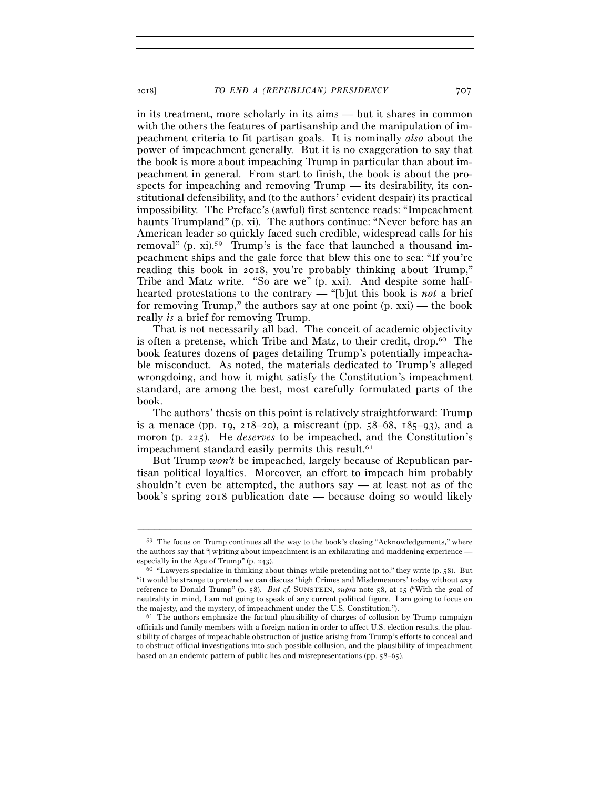in its treatment, more scholarly in its aims — but it shares in common with the others the features of partisanship and the manipulation of impeachment criteria to fit partisan goals. It is nominally *also* about the power of impeachment generally. But it is no exaggeration to say that the book is more about impeaching Trump in particular than about impeachment in general. From start to finish, the book is about the prospects for impeaching and removing Trump — its desirability, its constitutional defensibility, and (to the authors' evident despair) its practical impossibility. The Preface's (awful) first sentence reads: "Impeachment haunts Trumpland" (p. xi). The authors continue: "Never before has an American leader so quickly faced such credible, widespread calls for his removal" (p. xi).<sup>59</sup> Trump's is the face that launched a thousand impeachment ships and the gale force that blew this one to sea: "If you're reading this book in 2018, you're probably thinking about Trump," Tribe and Matz write. "So are we" (p. xxi). And despite some halfhearted protestations to the contrary — "[b]ut this book is *not* a brief for removing Trump," the authors say at one point (p. xxi) — the book really *is* a brief for removing Trump.

That is not necessarily all bad. The conceit of academic objectivity is often a pretense, which Tribe and Matz, to their credit, drop.60 The book features dozens of pages detailing Trump's potentially impeachable misconduct. As noted, the materials dedicated to Trump's alleged wrongdoing, and how it might satisfy the Constitution's impeachment standard, are among the best, most carefully formulated parts of the book.

The authors' thesis on this point is relatively straightforward: Trump is a menace (pp. 19, 218–20), a miscreant (pp.  $58-68$ ,  $185-93$ ), and a moron (p. 225). He *deserves* to be impeached, and the Constitution's impeachment standard easily permits this result.<sup>61</sup>

But Trump *won't* be impeached, largely because of Republican partisan political loyalties. Moreover, an effort to impeach him probably shouldn't even be attempted, the authors say — at least not as of the book's spring 2018 publication date — because doing so would likely

<sup>59</sup> The focus on Trump continues all the way to the book's closing "Acknowledgements," where the authors say that "[w]riting about impeachment is an exhilarating and maddening experience — especially in the Age of Trump" (p. 243).

 $60$  "Lawyers specialize in thinking about things while pretending not to," they write (p. 58). But "it would be strange to pretend we can discuss 'high Crimes and Misdemeanors' today without *any* reference to Donald Trump" (p. 58). *But cf.* SUNSTEIN, *supra* note 58, at 15 ("With the goal of neutrality in mind, I am not going to speak of any current political figure. I am going to focus on the majesty, and the mystery, of impeachment under the U.S. Constitution.").<br><sup>61</sup> The authors emphasize the factual plausibility of charges of collusion by Trump campaign

officials and family members with a foreign nation in order to affect U.S. election results, the plausibility of charges of impeachable obstruction of justice arising from Trump's efforts to conceal and to obstruct official investigations into such possible collusion, and the plausibility of impeachment based on an endemic pattern of public lies and misrepresentations (pp. 58–65).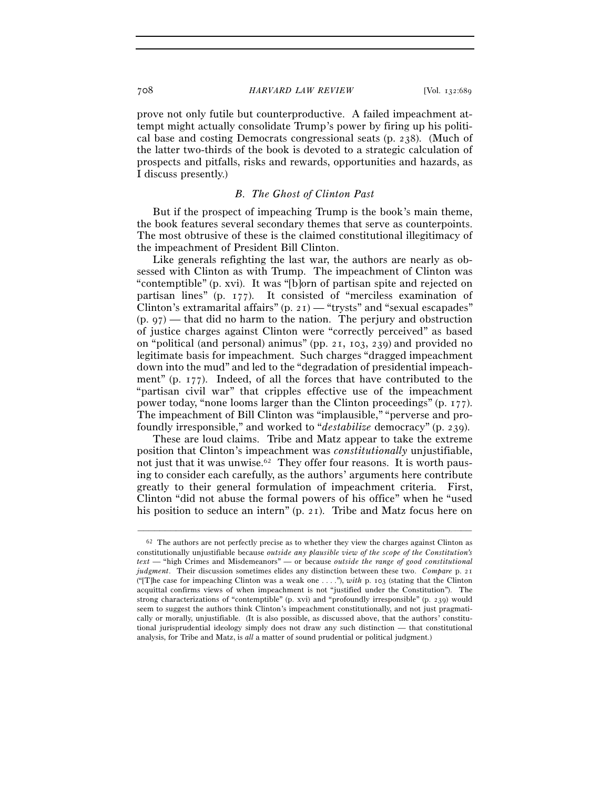prove not only futile but counterproductive. A failed impeachment attempt might actually consolidate Trump's power by firing up his political base and costing Democrats congressional seats (p. 238). (Much of the latter two-thirds of the book is devoted to a strategic calculation of prospects and pitfalls, risks and rewards, opportunities and hazards, as I discuss presently.)

## *B. The Ghost of Clinton Past*

But if the prospect of impeaching Trump is the book's main theme, the book features several secondary themes that serve as counterpoints. The most obtrusive of these is the claimed constitutional illegitimacy of the impeachment of President Bill Clinton.

Like generals refighting the last war, the authors are nearly as obsessed with Clinton as with Trump. The impeachment of Clinton was "contemptible" (p. xvi). It was "[b]orn of partisan spite and rejected on partisan lines" (p. 177). It consisted of "merciless examination of Clinton's extramarital affairs" (p. 21) — "trysts" and "sexual escapades"  $(p, q7)$  — that did no harm to the nation. The perjury and obstruction of justice charges against Clinton were "correctly perceived" as based on "political (and personal) animus" (pp. 21, 103, 239) and provided no legitimate basis for impeachment. Such charges "dragged impeachment down into the mud" and led to the "degradation of presidential impeachment" (p. 177). Indeed, of all the forces that have contributed to the "partisan civil war" that cripples effective use of the impeachment power today, "none looms larger than the Clinton proceedings" (p. 177). The impeachment of Bill Clinton was "implausible," "perverse and profoundly irresponsible," and worked to "*destabilize* democracy" (p. 239).

 These are loud claims. Tribe and Matz appear to take the extreme position that Clinton's impeachment was *constitutionally* unjustifiable, not just that it was unwise.<sup>62</sup> They offer four reasons. It is worth pausing to consider each carefully, as the authors' arguments here contribute greatly to their general formulation of impeachment criteria. First, Clinton "did not abuse the formal powers of his office" when he "used his position to seduce an intern" (p. 21). Tribe and Matz focus here on

 $62$  The authors are not perfectly precise as to whether they view the charges against Clinton as constitutionally unjustifiable because *outside any plausible view of the scope of the Constitution's text* — "high Crimes and Misdemeanors" — or because *outside the range of good constitutional judgment*. Their discussion sometimes elides any distinction between these two. *Compare* p. 21 ("[T]he case for impeaching Clinton was a weak one . . . ."), *with* p. 103 (stating that the Clinton acquittal confirms views of when impeachment is not "justified under the Constitution"). The strong characterizations of "contemptible" (p. xvi) and "profoundly irresponsible" (p. 239) would seem to suggest the authors think Clinton's impeachment constitutionally, and not just pragmatically or morally, unjustifiable. (It is also possible, as discussed above, that the authors' constitutional jurisprudential ideology simply does not draw any such distinction — that constitutional analysis, for Tribe and Matz, is *all* a matter of sound prudential or political judgment.)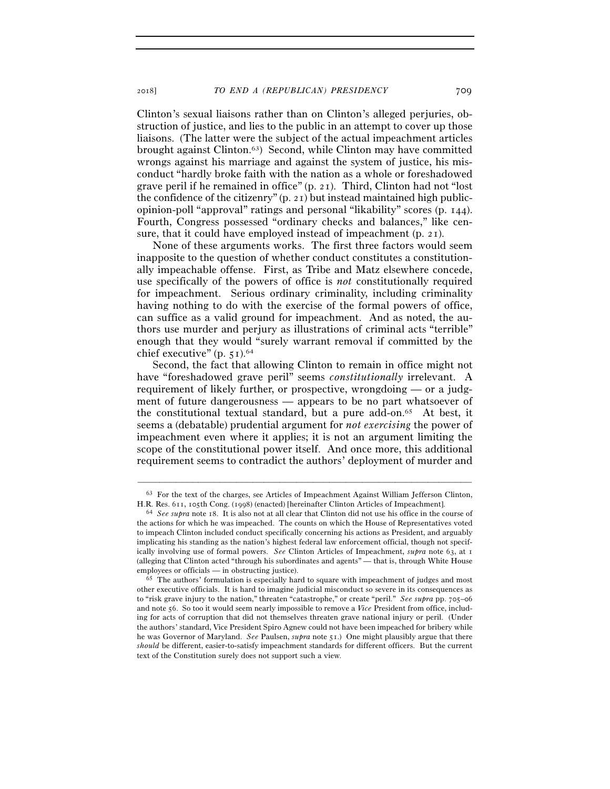Clinton's sexual liaisons rather than on Clinton's alleged perjuries, obstruction of justice, and lies to the public in an attempt to cover up those liaisons. (The latter were the subject of the actual impeachment articles brought against Clinton.63) Second, while Clinton may have committed wrongs against his marriage and against the system of justice, his misconduct "hardly broke faith with the nation as a whole or foreshadowed grave peril if he remained in office" (p. 21). Third, Clinton had not "lost the confidence of the citizenry" (p. 21) but instead maintained high publicopinion-poll "approval" ratings and personal "likability" scores (p. 144). Fourth, Congress possessed "ordinary checks and balances," like censure, that it could have employed instead of impeachment  $(p, 21)$ .

None of these arguments works. The first three factors would seem inapposite to the question of whether conduct constitutes a constitutionally impeachable offense. First, as Tribe and Matz elsewhere concede, use specifically of the powers of office is *not* constitutionally required for impeachment. Serious ordinary criminality, including criminality having nothing to do with the exercise of the formal powers of office, can suffice as a valid ground for impeachment. And as noted, the authors use murder and perjury as illustrations of criminal acts "terrible" enough that they would "surely warrant removal if committed by the chief executive" (p. 51).<sup>64</sup>

Second, the fact that allowing Clinton to remain in office might not have "foreshadowed grave peril" seems *constitutionally* irrelevant. A requirement of likely further, or prospective, wrongdoing — or a judgment of future dangerousness — appears to be no part whatsoever of the constitutional textual standard, but a pure add-on.65 At best, it seems a (debatable) prudential argument for *not exercising* the power of impeachment even where it applies; it is not an argument limiting the scope of the constitutional power itself. And once more, this additional requirement seems to contradict the authors' deployment of murder and

<sup>–––––––––––––––––––––––––––––––––––––––––––––––––––––––––––––</sup> 63 For the text of the charges, see Articles of Impeachment Against William Jefferson Clinton, H.R. Res. 611, 105th Cong. (<sup>1998</sup>) (enacted) [hereinafter Clinton Articles of Impeachment]. 64 *See supra* note 18. It is also not at all clear that Clinton did not use his office in the course of

the actions for which he was impeached. The counts on which the House of Representatives voted to impeach Clinton included conduct specifically concerning his actions as President, and arguably implicating his standing as the nation's highest federal law enforcement official, though not specifically involving use of formal powers. *See* Clinton Articles of Impeachment, *supra* note 63, at 1 (alleging that Clinton acted "through his subordinates and agents" — that is, through White House employees or officials — in obstructing justice).<br><sup>65</sup> The authors' formulation is especially hard to square with impeachment of judges and most

other executive officials. It is hard to imagine judicial misconduct so severe in its consequences as to "risk grave injury to the nation," threaten "catastrophe," or create "peril." *See supra* pp. 705–06 and note 56. So too it would seem nearly impossible to remove a *Vice* President from office, including for acts of corruption that did not themselves threaten grave national injury or peril. (Under the authors' standard, Vice President Spiro Agnew could not have been impeached for bribery while he was Governor of Maryland. *See* Paulsen, *supra* note 51.) One might plausibly argue that there *should* be different, easier-to-satisfy impeachment standards for different officers. But the current text of the Constitution surely does not support such a view.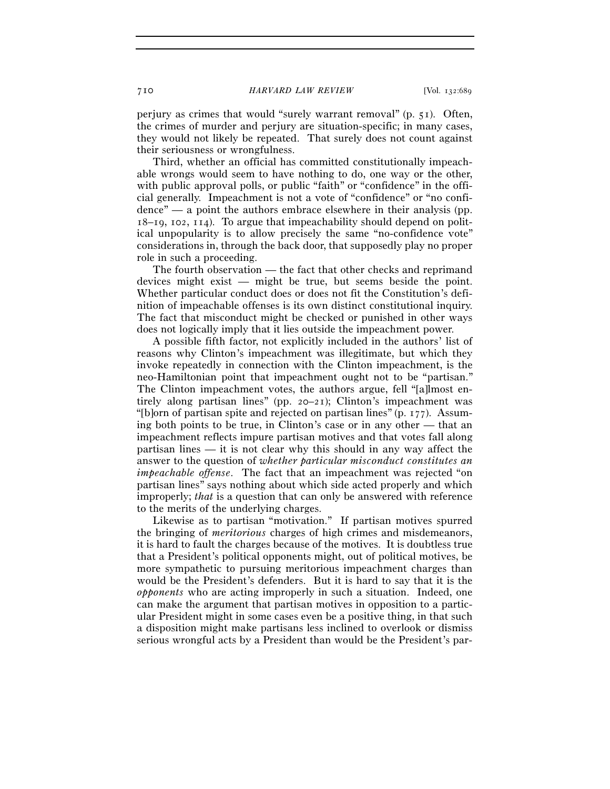perjury as crimes that would "surely warrant removal" (p. 51). Often, the crimes of murder and perjury are situation-specific; in many cases, they would not likely be repeated. That surely does not count against their seriousness or wrongfulness.

Third, whether an official has committed constitutionally impeachable wrongs would seem to have nothing to do, one way or the other, with public approval polls, or public "faith" or "confidence" in the official generally. Impeachment is not a vote of "confidence" or "no confi- $\alpha$  dence" — a point the authors embrace elsewhere in their analysis (pp. 18–19, 102, 114). To argue that impeachability should depend on political unpopularity is to allow precisely the same "no-confidence vote" considerations in, through the back door, that supposedly play no proper role in such a proceeding.

The fourth observation — the fact that other checks and reprimand devices might exist — might be true, but seems beside the point. Whether particular conduct does or does not fit the Constitution's definition of impeachable offenses is its own distinct constitutional inquiry. The fact that misconduct might be checked or punished in other ways does not logically imply that it lies outside the impeachment power.

A possible fifth factor, not explicitly included in the authors' list of reasons why Clinton's impeachment was illegitimate, but which they invoke repeatedly in connection with the Clinton impeachment, is the neo-Hamiltonian point that impeachment ought not to be "partisan." The Clinton impeachment votes, the authors argue, fell "[a]lmost entirely along partisan lines" (pp. 20–21); Clinton's impeachment was "[b]orn of partisan spite and rejected on partisan lines" (p. 177). Assuming both points to be true, in Clinton's case or in any other — that an impeachment reflects impure partisan motives and that votes fall along partisan lines — it is not clear why this should in any way affect the answer to the question of *whether particular misconduct constitutes an impeachable offense*. The fact that an impeachment was rejected "on partisan lines" says nothing about which side acted properly and which improperly; *that* is a question that can only be answered with reference to the merits of the underlying charges.

Likewise as to partisan "motivation." If partisan motives spurred the bringing of *meritorious* charges of high crimes and misdemeanors, it is hard to fault the charges because of the motives. It is doubtless true that a President's political opponents might, out of political motives, be more sympathetic to pursuing meritorious impeachment charges than would be the President's defenders. But it is hard to say that it is the *opponents* who are acting improperly in such a situation. Indeed, one can make the argument that partisan motives in opposition to a particular President might in some cases even be a positive thing, in that such a disposition might make partisans less inclined to overlook or dismiss serious wrongful acts by a President than would be the President's par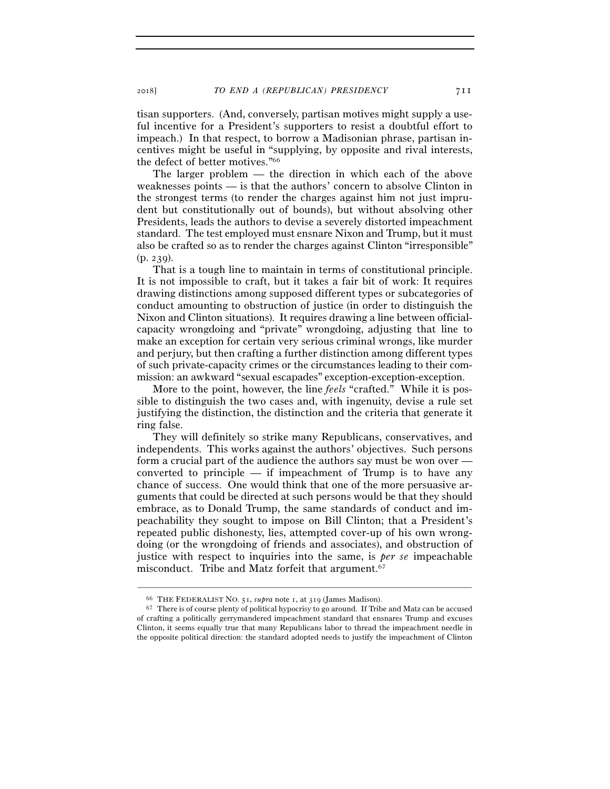tisan supporters. (And, conversely, partisan motives might supply a useful incentive for a President's supporters to resist a doubtful effort to impeach.) In that respect, to borrow a Madisonian phrase, partisan incentives might be useful in "supplying, by opposite and rival interests, the defect of better motives."66

The larger problem — the direction in which each of the above weaknesses points — is that the authors' concern to absolve Clinton in the strongest terms (to render the charges against him not just imprudent but constitutionally out of bounds), but without absolving other Presidents, leads the authors to devise a severely distorted impeachment standard. The test employed must ensnare Nixon and Trump, but it must also be crafted so as to render the charges against Clinton "irresponsible" (p. 239).

That is a tough line to maintain in terms of constitutional principle. It is not impossible to craft, but it takes a fair bit of work: It requires drawing distinctions among supposed different types or subcategories of conduct amounting to obstruction of justice (in order to distinguish the Nixon and Clinton situations). It requires drawing a line between officialcapacity wrongdoing and "private" wrongdoing, adjusting that line to make an exception for certain very serious criminal wrongs, like murder and perjury, but then crafting a further distinction among different types of such private-capacity crimes or the circumstances leading to their commission: an awkward "sexual escapades" exception-exception-exception.

More to the point, however, the line *feels* "crafted." While it is possible to distinguish the two cases and, with ingenuity, devise a rule set justifying the distinction, the distinction and the criteria that generate it ring false.

They will definitely so strike many Republicans, conservatives, and independents. This works against the authors' objectives. Such persons form a crucial part of the audience the authors say must be won over converted to principle  $-$  if impeachment of Trump is to have any chance of success. One would think that one of the more persuasive arguments that could be directed at such persons would be that they should embrace, as to Donald Trump, the same standards of conduct and impeachability they sought to impose on Bill Clinton; that a President's repeated public dishonesty, lies, attempted cover-up of his own wrongdoing (or the wrongdoing of friends and associates), and obstruction of justice with respect to inquiries into the same, is *per se* impeachable misconduct. Tribe and Matz forfeit that argument.67

<sup>66</sup> THE FEDERALIST NO. 51, *supra* note 1, at <sup>319</sup> (James Madison). 67 There is of course plenty of political hypocrisy to go around. If Tribe and Matz can be accused of crafting a politically gerrymandered impeachment standard that ensnares Trump and excuses Clinton, it seems equally true that many Republicans labor to thread the impeachment needle in the opposite political direction: the standard adopted needs to justify the impeachment of Clinton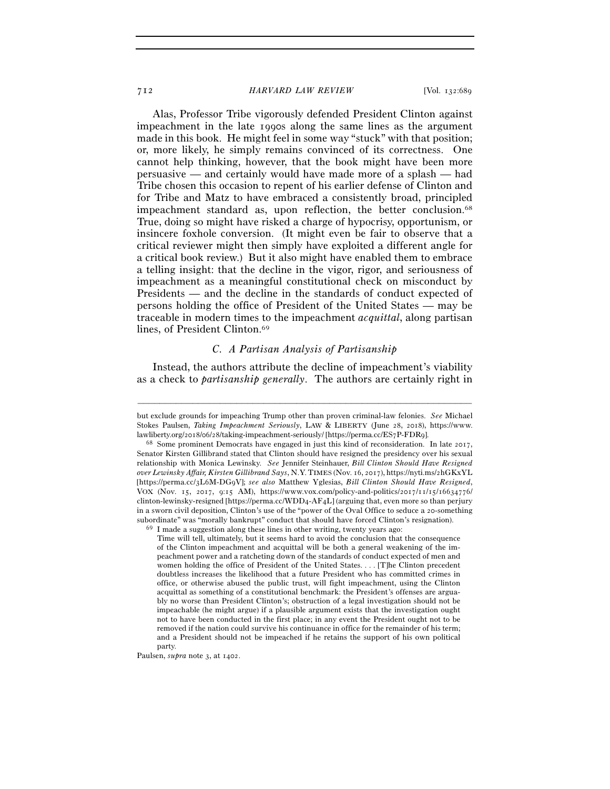Alas, Professor Tribe vigorously defended President Clinton against impeachment in the late 1990s along the same lines as the argument made in this book. He might feel in some way "stuck" with that position; or, more likely, he simply remains convinced of its correctness. One cannot help thinking, however, that the book might have been more persuasive — and certainly would have made more of a splash — had Tribe chosen this occasion to repent of his earlier defense of Clinton and for Tribe and Matz to have embraced a consistently broad, principled impeachment standard as, upon reflection, the better conclusion.<sup>68</sup> True, doing so might have risked a charge of hypocrisy, opportunism, or insincere foxhole conversion. (It might even be fair to observe that a critical reviewer might then simply have exploited a different angle for a critical book review.) But it also might have enabled them to embrace a telling insight: that the decline in the vigor, rigor, and seriousness of impeachment as a meaningful constitutional check on misconduct by Presidents — and the decline in the standards of conduct expected of persons holding the office of President of the United States — may be traceable in modern times to the impeachment *acquittal*, along partisan lines, of President Clinton.<sup>69</sup>

## *C. A Partisan Analysis of Partisanship*

Instead, the authors attribute the decline of impeachment's viability as a check to *partisanship generally*. The authors are certainly right in

–––––––––––––––––––––––––––––––––––––––––––––––––––––––––––––

Paulsen, *supra* note 3, at 1402.

but exclude grounds for impeaching Trump other than proven criminal-law felonies. *See* Michael Stokes Paulsen, *Taking Impeachment Seriously*, LAW & LIBERTY (June 28, 2018), https://www. lawliberty.org/2018/06/28/taking-impeachment-seriously/ [https://perma.cc/ES7P-FDR<sup>9</sup>]. 68 Some prominent Democrats have engaged in just this kind of reconsideration. In late 2017,

Senator Kirsten Gillibrand stated that Clinton should have resigned the presidency over his sexual relationship with Monica Lewinsky. *See* Jennifer Steinhauer, *Bill Clinton Should Have Resigned over Lewinsky Affair, Kirsten Gillibrand Says*, N.Y. TIMES (Nov. 16, 2017), https://nyti.ms/2hGKxYL [https://perma.cc/3L6M-DG9V]; *see also* Matthew Yglesias, *Bill Clinton Should Have Resigned*, VOX (Nov. 15, 2017, 9:15 AM), https://www.vox.com/policy-and-politics/2017/11/15/16634776/ clinton-lewinsky-resigned [https://perma.cc/WDD4-AF4L] (arguing that, even more so than perjury in a sworn civil deposition, Clinton's use of the "power of the Oval Office to seduce a 20-something subordinate" was "morally bankrupt" conduct that should have forced Clinton's resignation).<br><sup>69</sup> I made a suggestion along these lines in other writing, twenty years ago:

Time will tell, ultimately, but it seems hard to avoid the conclusion that the consequence of the Clinton impeachment and acquittal will be both a general weakening of the impeachment power and a ratcheting down of the standards of conduct expected of men and women holding the office of President of the United States. . . . [T]he Clinton precedent doubtless increases the likelihood that a future President who has committed crimes in office, or otherwise abused the public trust, will fight impeachment, using the Clinton acquittal as something of a constitutional benchmark: the President's offenses are arguably no worse than President Clinton's; obstruction of a legal investigation should not be impeachable (he might argue) if a plausible argument exists that the investigation ought not to have been conducted in the first place; in any event the President ought not to be removed if the nation could survive his continuance in office for the remainder of his term; and a President should not be impeached if he retains the support of his own political party.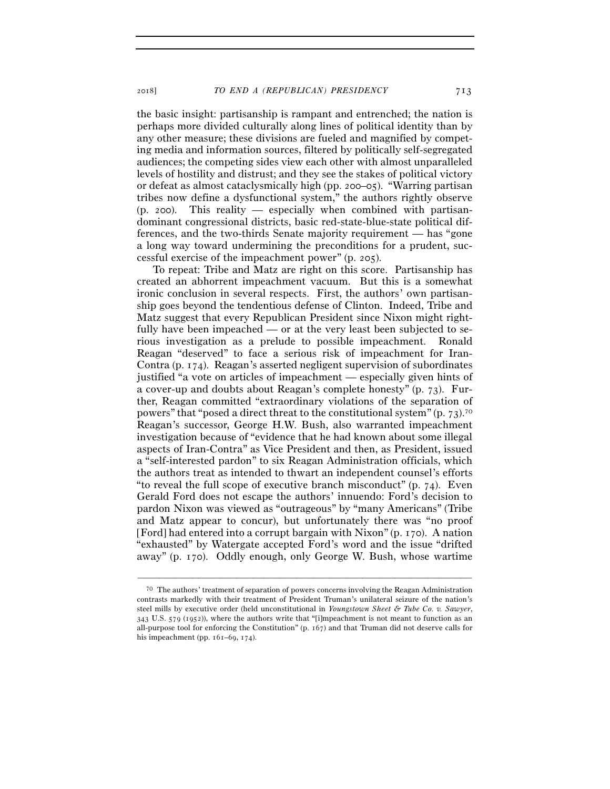the basic insight: partisanship is rampant and entrenched; the nation is perhaps more divided culturally along lines of political identity than by any other measure; these divisions are fueled and magnified by competing media and information sources, filtered by politically self-segregated audiences; the competing sides view each other with almost unparalleled levels of hostility and distrust; and they see the stakes of political victory or defeat as almost cataclysmically high (pp. 200–05). "Warring partisan tribes now define a dysfunctional system," the authors rightly observe (p. 200). This reality — especially when combined with partisandominant congressional districts, basic red-state-blue-state political differences, and the two-thirds Senate majority requirement — has "gone a long way toward undermining the preconditions for a prudent, successful exercise of the impeachment power" (p. 205).

To repeat: Tribe and Matz are right on this score. Partisanship has created an abhorrent impeachment vacuum. But this is a somewhat ironic conclusion in several respects. First, the authors' own partisanship goes beyond the tendentious defense of Clinton. Indeed, Tribe and Matz suggest that every Republican President since Nixon might rightfully have been impeached — or at the very least been subjected to serious investigation as a prelude to possible impeachment. Ronald Reagan "deserved" to face a serious risk of impeachment for Iran-Contra (p. 174). Reagan's asserted negligent supervision of subordinates justified "a vote on articles of impeachment — especially given hints of a cover-up and doubts about Reagan's complete honesty" (p. 73). Further, Reagan committed "extraordinary violations of the separation of powers" that "posed a direct threat to the constitutional system" (p.  $73$ ).<sup>70</sup> Reagan's successor, George H.W. Bush, also warranted impeachment investigation because of "evidence that he had known about some illegal aspects of Iran-Contra" as Vice President and then, as President, issued a "self-interested pardon" to six Reagan Administration officials, which the authors treat as intended to thwart an independent counsel's efforts "to reveal the full scope of executive branch misconduct" (p.  $74$ ). Even Gerald Ford does not escape the authors' innuendo: Ford's decision to pardon Nixon was viewed as "outrageous" by "many Americans" (Tribe and Matz appear to concur), but unfortunately there was "no proof [Ford] had entered into a corrupt bargain with Nixon" (p. 170). A nation "exhausted" by Watergate accepted Ford's word and the issue "drifted away" (p. 170). Oddly enough, only George W. Bush, whose wartime

<sup>70</sup> The authors' treatment of separation of powers concerns involving the Reagan Administration contrasts markedly with their treatment of President Truman's unilateral seizure of the nation's steel mills by executive order (held unconstitutional in *Youngstown Sheet & Tube Co. v. Sawyer*, 343 U.S. 579 (1952)), where the authors write that "[i]mpeachment is not meant to function as an all-purpose tool for enforcing the Constitution" (p. 167) and that Truman did not deserve calls for his impeachment (pp.  $161–69$ ,  $174$ ).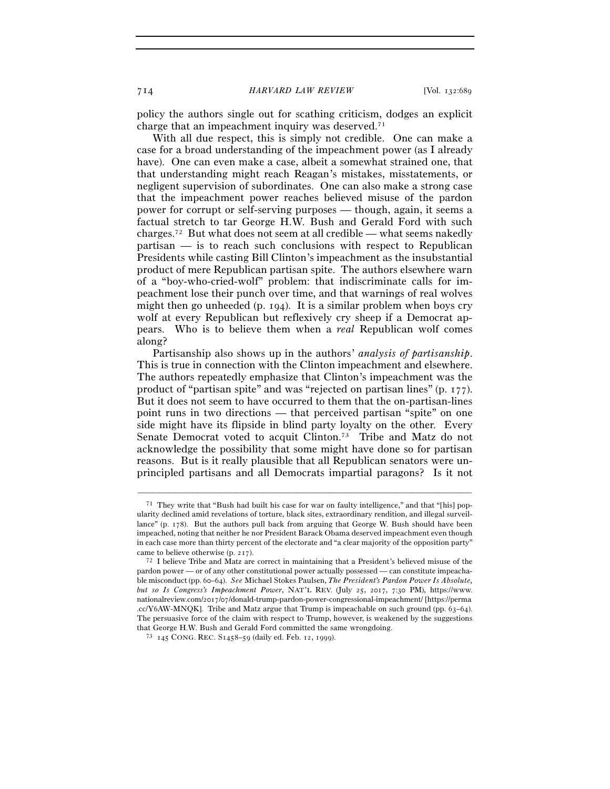policy the authors single out for scathing criticism, dodges an explicit charge that an impeachment inquiry was deserved.71

With all due respect, this is simply not credible. One can make a case for a broad understanding of the impeachment power (as I already have). One can even make a case, albeit a somewhat strained one, that that understanding might reach Reagan's mistakes, misstatements, or negligent supervision of subordinates. One can also make a strong case that the impeachment power reaches believed misuse of the pardon power for corrupt or self-serving purposes — though, again, it seems a factual stretch to tar George H.W. Bush and Gerald Ford with such charges.72 But what does not seem at all credible — what seems nakedly partisan — is to reach such conclusions with respect to Republican Presidents while casting Bill Clinton's impeachment as the insubstantial product of mere Republican partisan spite. The authors elsewhere warn of a "boy-who-cried-wolf" problem: that indiscriminate calls for impeachment lose their punch over time, and that warnings of real wolves might then go unheeded (p. 194). It is a similar problem when boys cry wolf at every Republican but reflexively cry sheep if a Democrat appears. Who is to believe them when a *real* Republican wolf comes along?

Partisanship also shows up in the authors' *analysis of partisanship*. This is true in connection with the Clinton impeachment and elsewhere. The authors repeatedly emphasize that Clinton's impeachment was the product of "partisan spite" and was "rejected on partisan lines" (p. 177). But it does not seem to have occurred to them that the on-partisan-lines point runs in two directions — that perceived partisan "spite" on one side might have its flipside in blind party loyalty on the other. Every Senate Democrat voted to acquit Clinton.<sup>73</sup> Tribe and Matz do not acknowledge the possibility that some might have done so for partisan reasons. But is it really plausible that all Republican senators were unprincipled partisans and all Democrats impartial paragons? Is it not

<sup>71</sup> They write that "Bush had built his case for war on faulty intelligence," and that "[his] popularity declined amid revelations of torture, black sites, extraordinary rendition, and illegal surveillance" (p. 178). But the authors pull back from arguing that George W. Bush should have been impeached, noting that neither he nor President Barack Obama deserved impeachment even though in each case more than thirty percent of the electorate and "a clear majority of the opposition party" came to believe otherwise (p. 217).<br>
<sup>72</sup> I believe Tribe and Matz are correct in maintaining that a President's believed misuse of the

pardon power — or of any other constitutional power actually possessed — can constitute impeachable misconduct (pp. 60–64). *See* Michael Stokes Paulsen, *The President's Pardon Power Is Absolute, but so Is Congress's Impeachment Power*, NAT'L REV. (July 25, 2017, 7:30 PM), https://www. nationalreview.com/2017/07/donald-trump-pardon-power-congressional-impeachment/ [https://perma .cc/Y6AW-MNQK]. Tribe and Matz argue that Trump is impeachable on such ground (pp. 63–64). The persuasive force of the claim with respect to Trump, however, is weakened by the suggestions that George H.W. Bush and Gerald Ford committed the same wrong<br>doing.  $^{73}$  145 CONG. REC.  $\mathrm{S1458–59}$  (daily ed. Feb. 12, 1999).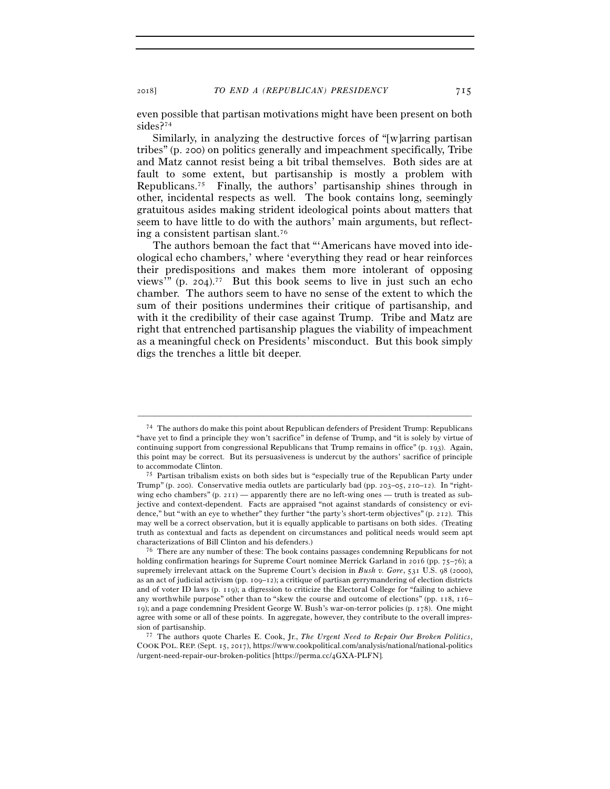even possible that partisan motivations might have been present on both sides?74

Similarly, in analyzing the destructive forces of "[w]arring partisan tribes" (p. 200) on politics generally and impeachment specifically, Tribe and Matz cannot resist being a bit tribal themselves. Both sides are at fault to some extent, but partisanship is mostly a problem with Republicans.75 Finally, the authors' partisanship shines through in other, incidental respects as well. The book contains long, seemingly gratuitous asides making strident ideological points about matters that seem to have little to do with the authors' main arguments, but reflecting a consistent partisan slant.76

The authors bemoan the fact that "'Americans have moved into ideological echo chambers,' where 'everything they read or hear reinforces their predispositions and makes them more intolerant of opposing views'" (p. 204).<sup>77</sup> But this book seems to live in just such an echo chamber. The authors seem to have no sense of the extent to which the sum of their positions undermines their critique of partisanship, and with it the credibility of their case against Trump. Tribe and Matz are right that entrenched partisanship plagues the viability of impeachment as a meaningful check on Presidents' misconduct. But this book simply digs the trenches a little bit deeper.

<sup>74</sup> The authors do make this point about Republican defenders of President Trump: Republicans "have yet to find a principle they won't sacrifice" in defense of Trump, and "it is solely by virtue of continuing support from congressional Republicans that Trump remains in office" (p. 193). Again, this point may be correct. But its persuasiveness is undercut by the authors' sacrifice of principle to accommodate Clinton. 75 Partisan tribalism exists on both sides but is "especially true of the Republican Party under

Trump" (p. 200). Conservative media outlets are particularly bad (pp. 203–05, 210–12). In "rightwing echo chambers"  $(p. 211)$  — apparently there are no left-wing ones — truth is treated as subjective and context-dependent. Facts are appraised "not against standards of consistency or evidence," but "with an eye to whether" they further "the party's short-term objectives" (p. 212). This may well be a correct observation, but it is equally applicable to partisans on both sides. (Treating truth as contextual and facts as dependent on circumstances and political needs would seem apt characterizations of Bill Clinton and his defenders.) 76 There are any number of these: The book contains passages condemning Republicans for not

holding confirmation hearings for Supreme Court nominee Merrick Garland in 2016 (pp. 75–76); a supremely irrelevant attack on the Supreme Court's decision in *Bush v. Gore*, 531 U.S. 98 (2000), as an act of judicial activism (pp. 109–12); a critique of partisan gerrymandering of election districts and of voter ID laws (p. 119); a digression to criticize the Electoral College for "failing to achieve any worthwhile purpose" other than to "skew the course and outcome of elections" (pp. 118, 116– 19); and a page condemning President George W. Bush's war-on-terror policies (p. 178). One might agree with some or all of these points. In aggregate, however, they contribute to the overall impres-

sion of partisanship. 77 The authors quote Charles E. Cook, Jr., *The Urgent Need to Repair Our Broken Politics*, COOK POL. REP. (Sept. 15, 2017), https://www.cookpolitical.com/analysis/national/national-politics /urgent-need-repair-our-broken-politics [https://perma.cc/4GXA-PLFN].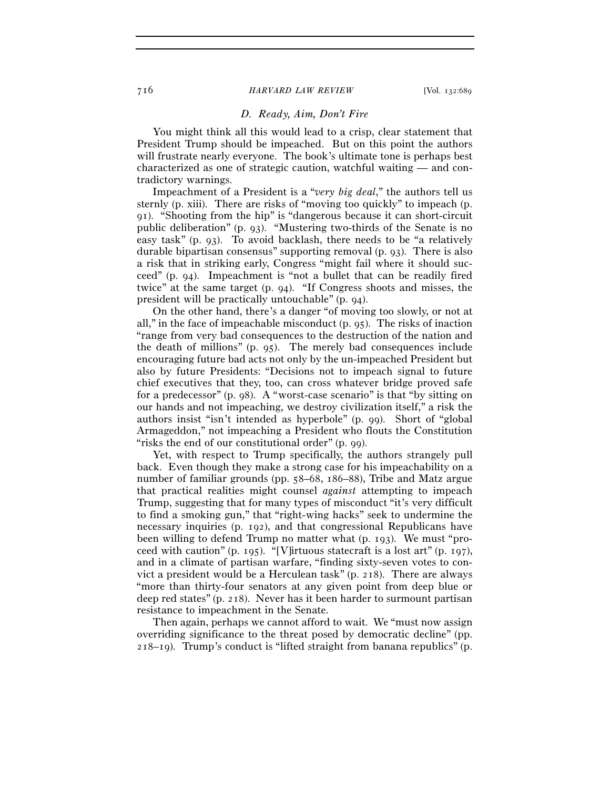# *D. Ready, Aim, Don't Fire*

You might think all this would lead to a crisp, clear statement that President Trump should be impeached. But on this point the authors will frustrate nearly everyone. The book's ultimate tone is perhaps best characterized as one of strategic caution, watchful waiting — and contradictory warnings.

Impeachment of a President is a "*very big deal*," the authors tell us sternly (p. xiii). There are risks of "moving too quickly" to impeach (p. 91). "Shooting from the hip" is "dangerous because it can short-circuit public deliberation" (p. 93). "Mustering two-thirds of the Senate is no easy task" (p. 93). To avoid backlash, there needs to be "a relatively durable bipartisan consensus" supporting removal (p. 93). There is also a risk that in striking early, Congress "might fail where it should succeed" (p. 94). Impeachment is "not a bullet that can be readily fired twice" at the same target (p. 94). "If Congress shoots and misses, the president will be practically untouchable" (p. 94).

On the other hand, there's a danger "of moving too slowly, or not at all," in the face of impeachable misconduct (p. 95). The risks of inaction "range from very bad consequences to the destruction of the nation and the death of millions" (p. 95). The merely bad consequences include encouraging future bad acts not only by the un-impeached President but also by future Presidents: "Decisions not to impeach signal to future chief executives that they, too, can cross whatever bridge proved safe for a predecessor" (p. 98). A "worst-case scenario" is that "by sitting on our hands and not impeaching, we destroy civilization itself," a risk the authors insist "isn't intended as hyperbole" (p. 99). Short of "global Armageddon," not impeaching a President who flouts the Constitution "risks the end of our constitutional order" (p. 99).

Yet, with respect to Trump specifically, the authors strangely pull back. Even though they make a strong case for his impeachability on a number of familiar grounds (pp. 58–68, 186–88), Tribe and Matz argue that practical realities might counsel *against* attempting to impeach Trump, suggesting that for many types of misconduct "it's very difficult to find a smoking gun," that "right-wing hacks" seek to undermine the necessary inquiries (p. 192), and that congressional Republicans have been willing to defend Trump no matter what (p. 193). We must "proceed with caution" (p. 195). "[V]irtuous statecraft is a lost art" (p. 197), and in a climate of partisan warfare, "finding sixty-seven votes to convict a president would be a Herculean task" (p. 218). There are always "more than thirty-four senators at any given point from deep blue or deep red states" (p. 218). Never has it been harder to surmount partisan resistance to impeachment in the Senate.

Then again, perhaps we cannot afford to wait. We "must now assign overriding significance to the threat posed by democratic decline" (pp. 218–19). Trump's conduct is "lifted straight from banana republics" (p.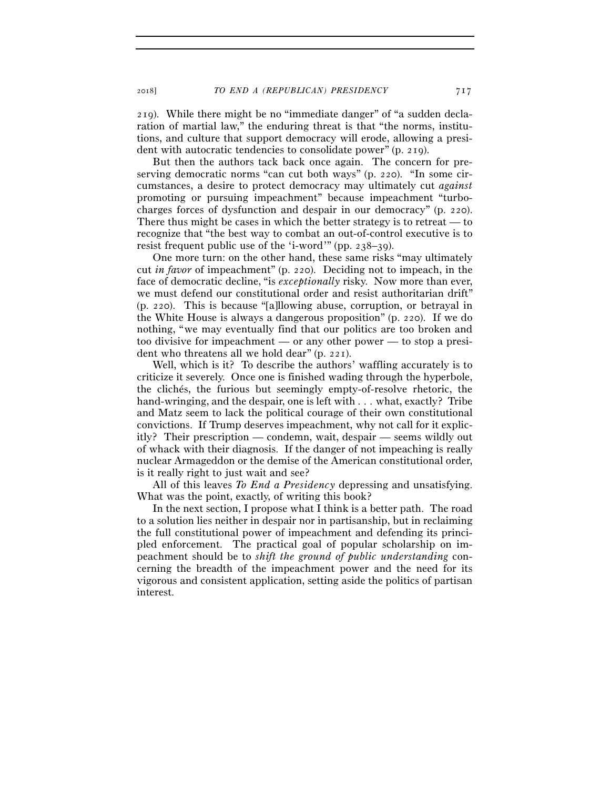219). While there might be no "immediate danger" of "a sudden declaration of martial law," the enduring threat is that "the norms, institutions, and culture that support democracy will erode, allowing a president with autocratic tendencies to consolidate power" (p. 219).

But then the authors tack back once again. The concern for preserving democratic norms "can cut both ways" (p. 220). "In some circumstances, a desire to protect democracy may ultimately cut *against* promoting or pursuing impeachment" because impeachment "turbocharges forces of dysfunction and despair in our democracy" (p. 220). There thus might be cases in which the better strategy is to retreat — to recognize that "the best way to combat an out-of-control executive is to resist frequent public use of the 'i-word'" (pp. 238–39).

One more turn: on the other hand, these same risks "may ultimately cut *in favor* of impeachment" (p. 220). Deciding not to impeach, in the face of democratic decline, "is *exceptionally* risky. Now more than ever, we must defend our constitutional order and resist authoritarian drift" (p. 220). This is because "[a]llowing abuse, corruption, or betrayal in the White House is always a dangerous proposition" (p. 220). If we do nothing, "we may eventually find that our politics are too broken and too divisive for impeachment — or any other power — to stop a president who threatens all we hold dear" (p. 221).

Well, which is it? To describe the authors' waffling accurately is to criticize it severely. Once one is finished wading through the hyperbole, the clichés, the furious but seemingly empty-of-resolve rhetoric, the hand-wringing, and the despair, one is left with . . . what, exactly? Tribe and Matz seem to lack the political courage of their own constitutional convictions. If Trump deserves impeachment, why not call for it explicitly? Their prescription — condemn, wait, despair — seems wildly out of whack with their diagnosis. If the danger of not impeaching is really nuclear Armageddon or the demise of the American constitutional order, is it really right to just wait and see?

All of this leaves *To End a Presidency* depressing and unsatisfying. What was the point, exactly, of writing this book?

In the next section, I propose what I think is a better path. The road to a solution lies neither in despair nor in partisanship, but in reclaiming the full constitutional power of impeachment and defending its principled enforcement. The practical goal of popular scholarship on impeachment should be to *shift the ground of public understanding* concerning the breadth of the impeachment power and the need for its vigorous and consistent application, setting aside the politics of partisan interest.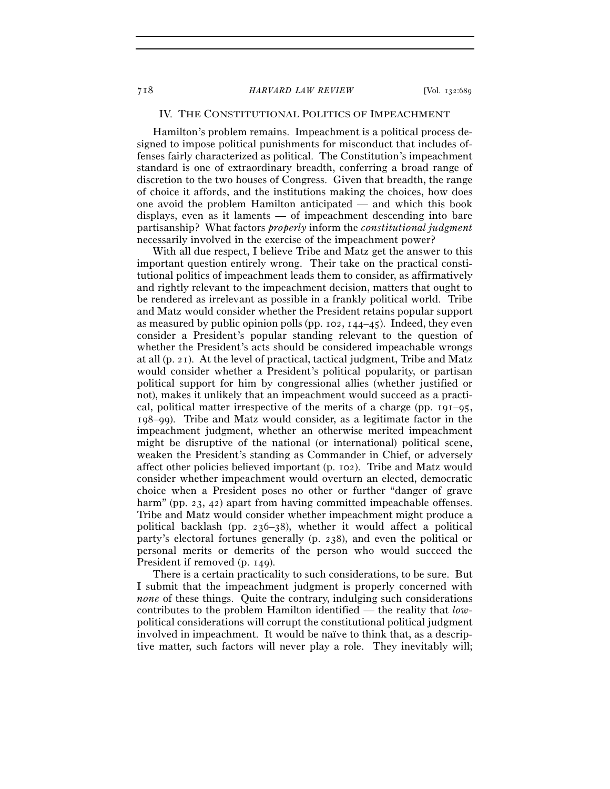# IV. THE CONSTITUTIONAL POLITICS OF IMPEACHMENT

Hamilton's problem remains. Impeachment is a political process designed to impose political punishments for misconduct that includes offenses fairly characterized as political. The Constitution's impeachment standard is one of extraordinary breadth, conferring a broad range of discretion to the two houses of Congress. Given that breadth, the range of choice it affords, and the institutions making the choices, how does one avoid the problem Hamilton anticipated — and which this book displays, even as it laments — of impeachment descending into bare partisanship? What factors *properly* inform the *constitutional judgment* necessarily involved in the exercise of the impeachment power?

With all due respect, I believe Tribe and Matz get the answer to this important question entirely wrong. Their take on the practical constitutional politics of impeachment leads them to consider, as affirmatively and rightly relevant to the impeachment decision, matters that ought to be rendered as irrelevant as possible in a frankly political world. Tribe and Matz would consider whether the President retains popular support as measured by public opinion polls (pp. 102,  $144-45$ ). Indeed, they even consider a President's popular standing relevant to the question of whether the President's acts should be considered impeachable wrongs at all (p. 21). At the level of practical, tactical judgment, Tribe and Matz would consider whether a President's political popularity, or partisan political support for him by congressional allies (whether justified or not), makes it unlikely that an impeachment would succeed as a practical, political matter irrespective of the merits of a charge (pp.  $191-95$ , 198–99). Tribe and Matz would consider, as a legitimate factor in the impeachment judgment, whether an otherwise merited impeachment might be disruptive of the national (or international) political scene, weaken the President's standing as Commander in Chief, or adversely affect other policies believed important (p. 102). Tribe and Matz would consider whether impeachment would overturn an elected, democratic choice when a President poses no other or further "danger of grave harm" (pp. 23, 42) apart from having committed impeachable offenses. Tribe and Matz would consider whether impeachment might produce a political backlash (pp. 236–38), whether it would affect a political party's electoral fortunes generally (p. 238), and even the political or personal merits or demerits of the person who would succeed the President if removed (p. 149).

There is a certain practicality to such considerations, to be sure. But I submit that the impeachment judgment is properly concerned with *none* of these things. Quite the contrary, indulging such considerations contributes to the problem Hamilton identified — the reality that *low*political considerations will corrupt the constitutional political judgment involved in impeachment. It would be naïve to think that, as a descriptive matter, such factors will never play a role. They inevitably will;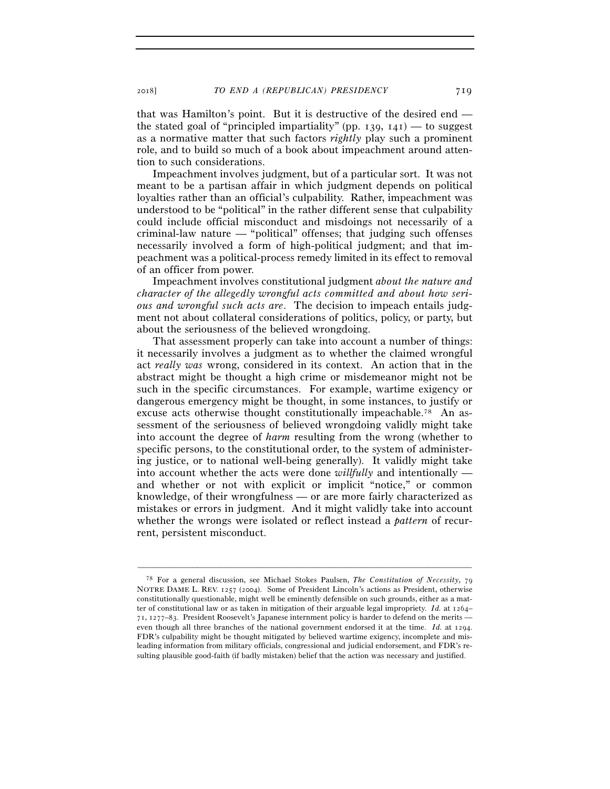that was Hamilton's point. But it is destructive of the desired end the stated goal of "principled impartiality" (pp. 139,  $141$ ) — to suggest as a normative matter that such factors *rightly* play such a prominent role, and to build so much of a book about impeachment around attention to such considerations.

Impeachment involves judgment, but of a particular sort. It was not meant to be a partisan affair in which judgment depends on political loyalties rather than an official's culpability. Rather, impeachment was understood to be "political" in the rather different sense that culpability could include official misconduct and misdoings not necessarily of a criminal-law nature — "political" offenses; that judging such offenses necessarily involved a form of high-political judgment; and that impeachment was a political-process remedy limited in its effect to removal of an officer from power.

Impeachment involves constitutional judgment *about the nature and character of the allegedly wrongful acts committed and about how serious and wrongful such acts are*. The decision to impeach entails judgment not about collateral considerations of politics, policy, or party, but about the seriousness of the believed wrongdoing.

That assessment properly can take into account a number of things: it necessarily involves a judgment as to whether the claimed wrongful act *really was* wrong, considered in its context. An action that in the abstract might be thought a high crime or misdemeanor might not be such in the specific circumstances. For example, wartime exigency or dangerous emergency might be thought, in some instances, to justify or excuse acts otherwise thought constitutionally impeachable.78 An assessment of the seriousness of believed wrongdoing validly might take into account the degree of *harm* resulting from the wrong (whether to specific persons, to the constitutional order, to the system of administering justice, or to national well-being generally). It validly might take into account whether the acts were done *willfully* and intentionally and whether or not with explicit or implicit "notice," or common knowledge, of their wrongfulness — or are more fairly characterized as mistakes or errors in judgment. And it might validly take into account whether the wrongs were isolated or reflect instead a *pattern* of recurrent, persistent misconduct.

<sup>78</sup> For a general discussion, see Michael Stokes Paulsen, *The Constitution of Necessity*, 79 NOTRE DAME L. REV. 1257 (2004). Some of President Lincoln's actions as President, otherwise constitutionally questionable, might well be eminently defensible on such grounds, either as a matter of constitutional law or as taken in mitigation of their arguable legal impropriety. *Id.* at 1264– 71, 1277–83. President Roosevelt's Japanese internment policy is harder to defend on the merits even though all three branches of the national government endorsed it at the time. *Id.* at 1294. FDR's culpability might be thought mitigated by believed wartime exigency, incomplete and misleading information from military officials, congressional and judicial endorsement, and FDR's resulting plausible good-faith (if badly mistaken) belief that the action was necessary and justified.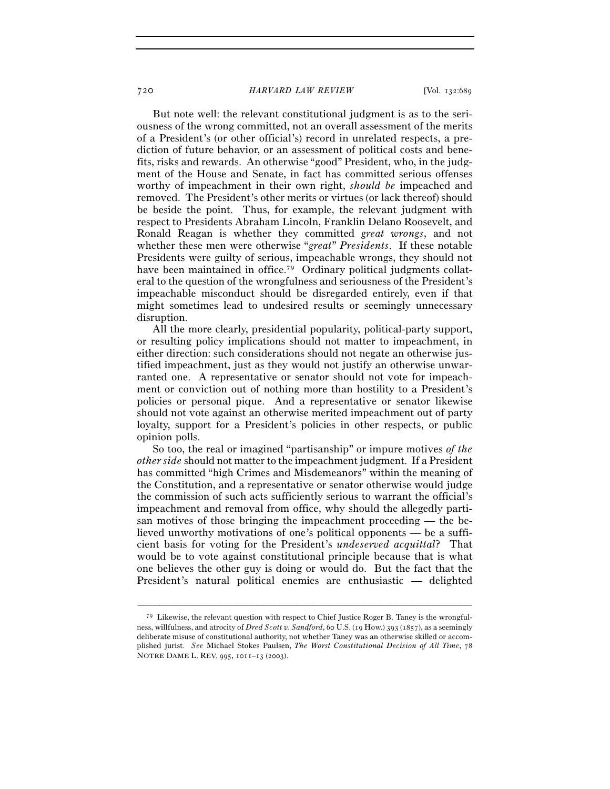But note well: the relevant constitutional judgment is as to the seriousness of the wrong committed, not an overall assessment of the merits of a President's (or other official's) record in unrelated respects, a prediction of future behavior, or an assessment of political costs and benefits, risks and rewards. An otherwise "good" President, who, in the judgment of the House and Senate, in fact has committed serious offenses worthy of impeachment in their own right, *should be* impeached and removed. The President's other merits or virtues (or lack thereof) should be beside the point. Thus, for example, the relevant judgment with respect to Presidents Abraham Lincoln, Franklin Delano Roosevelt, and Ronald Reagan is whether they committed *great wrongs*, and not whether these men were otherwise "*great*" *Presidents*. If these notable Presidents were guilty of serious, impeachable wrongs, they should not have been maintained in office.<sup>79</sup> Ordinary political judgments collateral to the question of the wrongfulness and seriousness of the President's impeachable misconduct should be disregarded entirely, even if that might sometimes lead to undesired results or seemingly unnecessary disruption.

All the more clearly, presidential popularity, political-party support, or resulting policy implications should not matter to impeachment, in either direction: such considerations should not negate an otherwise justified impeachment, just as they would not justify an otherwise unwarranted one. A representative or senator should not vote for impeachment or conviction out of nothing more than hostility to a President's policies or personal pique. And a representative or senator likewise should not vote against an otherwise merited impeachment out of party loyalty, support for a President's policies in other respects, or public opinion polls.

So too, the real or imagined "partisanship" or impure motives *of the other side* should not matter to the impeachment judgment. If a President has committed "high Crimes and Misdemeanors" within the meaning of the Constitution, and a representative or senator otherwise would judge the commission of such acts sufficiently serious to warrant the official's impeachment and removal from office, why should the allegedly partisan motives of those bringing the impeachment proceeding — the believed unworthy motivations of one's political opponents — be a sufficient basis for voting for the President's *undeserved acquittal*? That would be to vote against constitutional principle because that is what one believes the other guy is doing or would do. But the fact that the President's natural political enemies are enthusiastic — delighted

<sup>79</sup> Likewise, the relevant question with respect to Chief Justice Roger B. Taney is the wrongfulness, willfulness, and atrocity of *Dred Scott v. Sandford*, 60 U.S. (19 How.) 393 (1857), as a seemingly deliberate misuse of constitutional authority, not whether Taney was an otherwise skilled or accomplished jurist. *See* Michael Stokes Paulsen, *The Worst Constitutional Decision of All Time*, 78 NOTRE DAME L. REV. 995, 1011–13 (2003).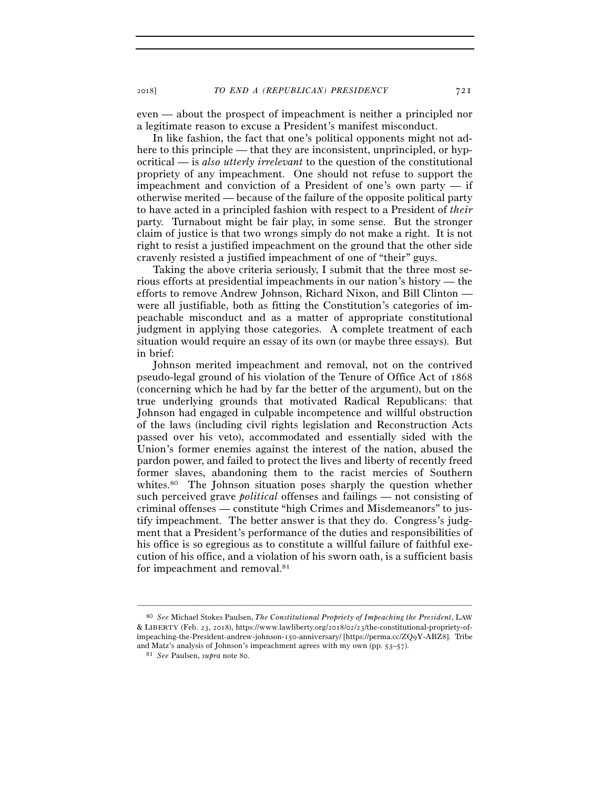even — about the prospect of impeachment is neither a principled nor a legitimate reason to excuse a President's manifest misconduct.

In like fashion, the fact that one's political opponents might not adhere to this principle — that they are inconsistent, unprincipled, or hypocritical — is *also utterly irrelevant* to the question of the constitutional propriety of any impeachment. One should not refuse to support the impeachment and conviction of a President of one's own party — if otherwise merited — because of the failure of the opposite political party to have acted in a principled fashion with respect to a President of *their* party. Turnabout might be fair play, in some sense. But the stronger claim of justice is that two wrongs simply do not make a right. It is not right to resist a justified impeachment on the ground that the other side cravenly resisted a justified impeachment of one of "their" guys.

Taking the above criteria seriously, I submit that the three most serious efforts at presidential impeachments in our nation's history — the efforts to remove Andrew Johnson, Richard Nixon, and Bill Clinton were all justifiable, both as fitting the Constitution's categories of impeachable misconduct and as a matter of appropriate constitutional judgment in applying those categories. A complete treatment of each situation would require an essay of its own (or maybe three essays). But in brief:

Johnson merited impeachment and removal, not on the contrived pseudo-legal ground of his violation of the Tenure of Office Act of 1868 (concerning which he had by far the better of the argument), but on the true underlying grounds that motivated Radical Republicans: that Johnson had engaged in culpable incompetence and willful obstruction of the laws (including civil rights legislation and Reconstruction Acts passed over his veto), accommodated and essentially sided with the Union's former enemies against the interest of the nation, abused the pardon power, and failed to protect the lives and liberty of recently freed former slaves, abandoning them to the racist mercies of Southern whites.<sup>80</sup> The Johnson situation poses sharply the question whether such perceived grave *political* offenses and failings — not consisting of criminal offenses — constitute "high Crimes and Misdemeanors" to justify impeachment. The better answer is that they do. Congress's judgment that a President's performance of the duties and responsibilities of his office is so egregious as to constitute a willful failure of faithful execution of his office, and a violation of his sworn oath, is a sufficient basis for impeachment and removal.<sup>81</sup>

<sup>80</sup> *See* Michael Stokes Paulsen, *The Constitutional Propriety of Impeaching the President*, LAW & LIBERTY (Feb. 23, 2018), https://www.lawliberty.org/2018/02/23/the-constitutional-propriety-ofimpeaching-the-President-andrew-johnson-150-anniversary/ [https://perma.cc/ZQ9Y-ABZ8]. Tribe and Matz's analysis of Johnson's impeachment agrees with my own (pp. 53–<sup>57</sup>). 81 *See* Paulsen, *supra* note 80.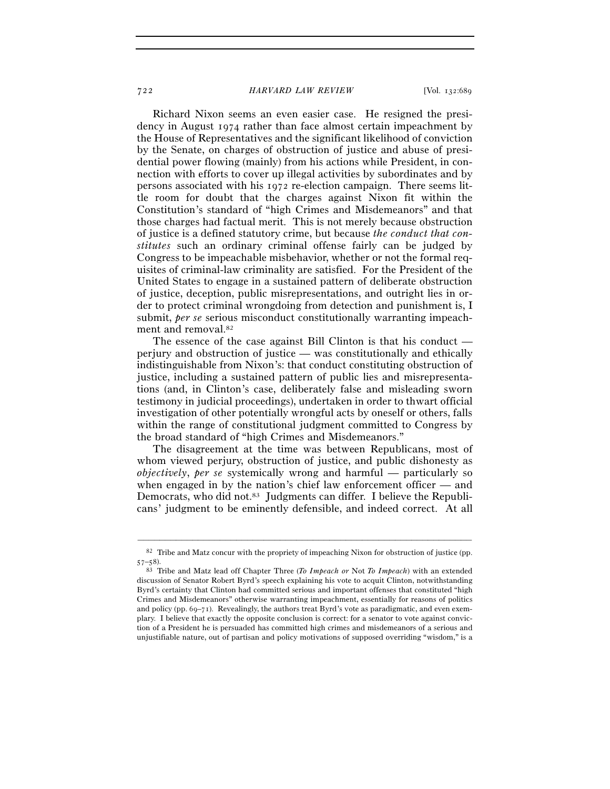Richard Nixon seems an even easier case. He resigned the presidency in August 1974 rather than face almost certain impeachment by the House of Representatives and the significant likelihood of conviction by the Senate, on charges of obstruction of justice and abuse of presidential power flowing (mainly) from his actions while President, in connection with efforts to cover up illegal activities by subordinates and by persons associated with his 1972 re-election campaign. There seems little room for doubt that the charges against Nixon fit within the Constitution's standard of "high Crimes and Misdemeanors" and that those charges had factual merit. This is not merely because obstruction of justice is a defined statutory crime, but because *the conduct that constitutes* such an ordinary criminal offense fairly can be judged by Congress to be impeachable misbehavior, whether or not the formal requisites of criminal-law criminality are satisfied. For the President of the United States to engage in a sustained pattern of deliberate obstruction of justice, deception, public misrepresentations, and outright lies in order to protect criminal wrongdoing from detection and punishment is, I submit, *per se* serious misconduct constitutionally warranting impeachment and removal.82

The essence of the case against Bill Clinton is that his conduct perjury and obstruction of justice — was constitutionally and ethically indistinguishable from Nixon's: that conduct constituting obstruction of justice, including a sustained pattern of public lies and misrepresentations (and, in Clinton's case, deliberately false and misleading sworn testimony in judicial proceedings), undertaken in order to thwart official investigation of other potentially wrongful acts by oneself or others, falls within the range of constitutional judgment committed to Congress by the broad standard of "high Crimes and Misdemeanors."

The disagreement at the time was between Republicans, most of whom viewed perjury, obstruction of justice, and public dishonesty as *objectively*, *per se* systemically wrong and harmful — particularly so when engaged in by the nation's chief law enforcement officer — and Democrats, who did not.<sup>83</sup> Judgments can differ. I believe the Republicans' judgment to be eminently defensible, and indeed correct. At all

<sup>–––––––––––––––––––––––––––––––––––––––––––––––––––––––––––––</sup> 82 Tribe and Matz concur with the propriety of impeaching Nixon for obstruction of justice (pp. <sup>57</sup>–<sup>58</sup>). 83 Tribe and Matz lead off Chapter Three (*To Impeach or* Not *To Impeach*) with an extended

discussion of Senator Robert Byrd's speech explaining his vote to acquit Clinton, notwithstanding Byrd's certainty that Clinton had committed serious and important offenses that constituted "high Crimes and Misdemeanors" otherwise warranting impeachment, essentially for reasons of politics and policy (pp.  $69-71$ ). Revealingly, the authors treat Byrd's vote as paradigmatic, and even exemplary. I believe that exactly the opposite conclusion is correct: for a senator to vote against conviction of a President he is persuaded has committed high crimes and misdemeanors of a serious and unjustifiable nature, out of partisan and policy motivations of supposed overriding "wisdom," is a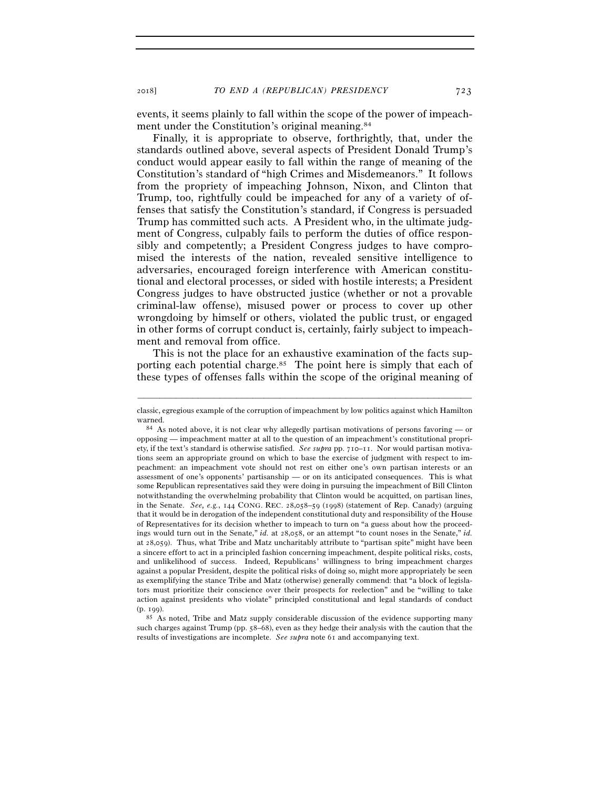events, it seems plainly to fall within the scope of the power of impeachment under the Constitution's original meaning.<sup>84</sup>

Finally, it is appropriate to observe, forthrightly, that, under the standards outlined above, several aspects of President Donald Trump's conduct would appear easily to fall within the range of meaning of the Constitution's standard of "high Crimes and Misdemeanors." It follows from the propriety of impeaching Johnson, Nixon, and Clinton that Trump, too, rightfully could be impeached for any of a variety of offenses that satisfy the Constitution's standard, if Congress is persuaded Trump has committed such acts. A President who, in the ultimate judgment of Congress, culpably fails to perform the duties of office responsibly and competently; a President Congress judges to have compromised the interests of the nation, revealed sensitive intelligence to adversaries, encouraged foreign interference with American constitutional and electoral processes, or sided with hostile interests; a President Congress judges to have obstructed justice (whether or not a provable criminal-law offense), misused power or process to cover up other wrongdoing by himself or others, violated the public trust, or engaged in other forms of corrupt conduct is, certainly, fairly subject to impeachment and removal from office.

This is not the place for an exhaustive examination of the facts supporting each potential charge.<sup>85</sup> The point here is simply that each of these types of offenses falls within the scope of the original meaning of

<sup>–––––––––––––––––––––––––––––––––––––––––––––––––––––––––––––</sup> classic, egregious example of the corruption of impeachment by low politics against which Hamilton warned.<br><sup>84</sup> As noted above, it is not clear why allegedly partisan motivations of persons favoring — or

opposing — impeachment matter at all to the question of an impeachment's constitutional propriety, if the text's standard is otherwise satisfied. *See supra* pp. 710–11. Nor would partisan motivations seem an appropriate ground on which to base the exercise of judgment with respect to impeachment: an impeachment vote should not rest on either one's own partisan interests or an assessment of one's opponents' partisanship — or on its anticipated consequences. This is what some Republican representatives said they were doing in pursuing the impeachment of Bill Clinton notwithstanding the overwhelming probability that Clinton would be acquitted, on partisan lines, in the Senate. *See, e.g.*, 144 CONG. REC. 28,058–59 (1998) (statement of Rep. Canady) (arguing that it would be in derogation of the independent constitutional duty and responsibility of the House of Representatives for its decision whether to impeach to turn on "a guess about how the proceedings would turn out in the Senate," *id.* at 28,058, or an attempt "to count noses in the Senate," *id.* at 28,059). Thus, what Tribe and Matz uncharitably attribute to "partisan spite" might have been a sincere effort to act in a principled fashion concerning impeachment, despite political risks, costs, and unlikelihood of success. Indeed, Republicans' willingness to bring impeachment charges against a popular President, despite the political risks of doing so, might more appropriately be seen as exemplifying the stance Tribe and Matz (otherwise) generally commend: that "a block of legislators must prioritize their conscience over their prospects for reelection" and be "willing to take action against presidents who violate" principled constitutional and legal standards of conduct

<sup>(</sup>p. 199).<br> $85$  As noted, Tribe and Matz supply considerable discussion of the evidence supporting many such charges against Trump (pp. 58–68), even as they hedge their analysis with the caution that the results of investigations are incomplete. *See supra* note 61 and accompanying text.